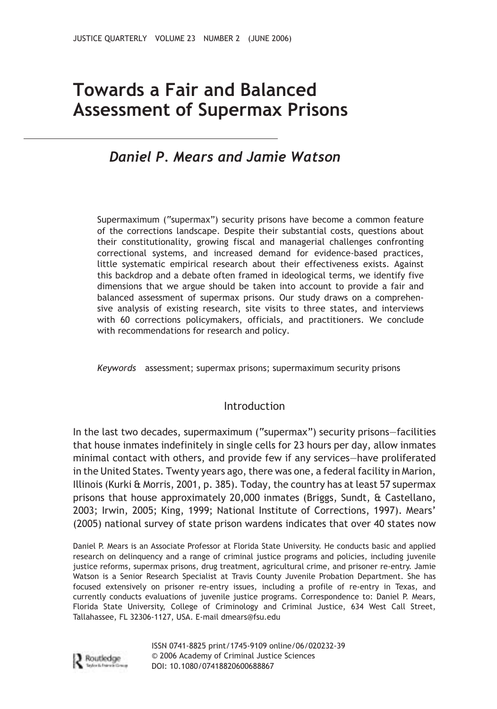# **Towards a Fair and Balanced Assessment of Supermax Prisons**

## *Daniel P. Mears and Jamie Watson*

Supermaximum ("supermax") security prisons have become a common feature of the corrections landscape. Despite their substantial costs, questions about their constitutionality, growing fiscal and managerial challenges confronting correctional systems, and increased demand for evidence-based practices, little systematic empirical research about their effectiveness exists. Against this backdrop and a debate often framed in ideological terms, we identify five dimensions that we argue should be taken into account to provide a fair and balanced assessment of supermax prisons. Our study draws on a comprehensive analysis of existing research, site visits to three states, and interviews with 60 corrections policymakers, officials, and practitioners. We conclude with recommendations for research and policy.

*Keywords* assessment; supermax prisons; supermaximum security prisons

## Introduction

In the last two decades, supermaximum ("supermax") security prisons—facilities that house inmates indefinitely in single cells for 23 hours per day, allow inmates minimal contact with others, and provide few if any services—have proliferated in the United States. Twenty years ago, there was one, a federal facility in Marion, Illinois (Kurki & Morris, 2001, p. 385). Today, the country has at least 57 supermax prisons that house approximately 20,000 inmates (Briggs, Sundt, & Castellano, 2003; Irwin, 2005; King, 1999; National Institute of Corrections, 1997). Mears' (2005) national survey of state prison wardens indicates that over 40 states now

Daniel P. Mears is an Associate Professor at Florida State University. He conducts basic and applied research on delinquency and a range of criminal justice programs and policies, including juvenile justice reforms, supermax prisons, drug treatment, agricultural crime, and prisoner re-entry. Jamie Watson is a Senior Research Specialist at Travis County Juvenile Probation Department. She has focused extensively on prisoner re-entry issues, including a profile of re-entry in Texas, and currently conducts evaluations of juvenile justice programs. Correspondence to: Daniel P. Mears, Florida State University, College of Criminology and Criminal Justice, 634 West Call Street, Tallahassee, FL 32306-1127, USA. E-mail dmears@fsu.edu



ISSN 0741-8825 print/1745-9109 online/06/020232-39 © 2006 Academy of Criminal Justice Sciences DOI: 10.1080/07418820600688867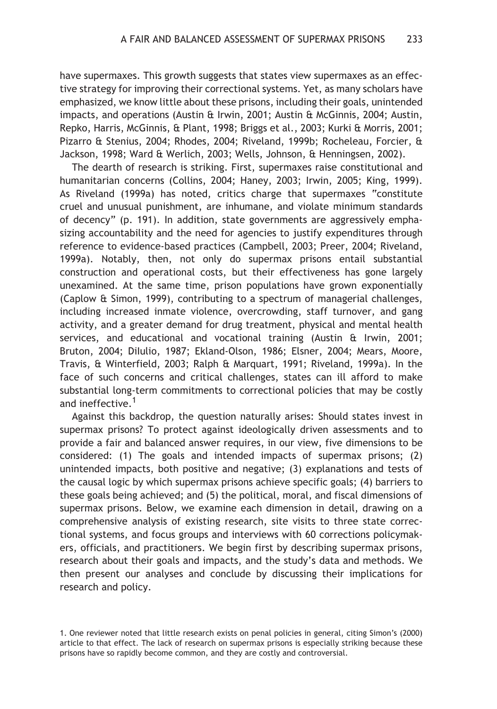have supermaxes. This growth suggests that states view supermaxes as an effective strategy for improving their correctional systems. Yet, as many scholars have emphasized, we know little about these prisons, including their goals, unintended impacts, and operations (Austin & Irwin, 2001; Austin & McGinnis, 2004; Austin, Repko, Harris, McGinnis, & Plant, 1998; Briggs et al., 2003; Kurki & Morris, 2001; Pizarro & Stenius, 2004; Rhodes, 2004; Riveland, 1999b; Rocheleau, Forcier, & Jackson, 1998; Ward & Werlich, 2003; Wells, Johnson, & Henningsen, 2002).

The dearth of research is striking. First, supermaxes raise constitutional and humanitarian concerns (Collins, 2004; Haney, 2003; Irwin, 2005; King, 1999). As Riveland (1999a) has noted, critics charge that supermaxes "constitute cruel and unusual punishment, are inhumane, and violate minimum standards of decency" (p. 191). In addition, state governments are aggressively emphasizing accountability and the need for agencies to justify expenditures through reference to evidence-based practices (Campbell, 2003; Preer, 2004; Riveland, 1999a). Notably, then, not only do supermax prisons entail substantial construction and operational costs, but their effectiveness has gone largely unexamined. At the same time, prison populations have grown exponentially (Caplow & Simon, 1999), contributing to a spectrum of managerial challenges, including increased inmate violence, overcrowding, staff turnover, and gang activity, and a greater demand for drug treatment, physical and mental health services, and educational and vocational training (Austin & Irwin, 2001; Bruton, 2004; DiIulio, 1987; Ekland-Olson, 1986; Elsner, 2004; Mears, Moore, Travis, & Winterfield, 2003; Ralph & Marquart, 1991; Riveland, 1999a). In the face of such concerns and critical challenges, states can ill afford to make substantial long-term commitments to correctional policies that may be costly and ineffective.<sup>1</sup>

Against this backdrop, the question naturally arises: Should states invest in supermax prisons? To protect against ideologically driven assessments and to provide a fair and balanced answer requires, in our view, five dimensions to be considered: (1) The goals and intended impacts of supermax prisons; (2) unintended impacts, both positive and negative; (3) explanations and tests of the causal logic by which supermax prisons achieve specific goals; (4) barriers to these goals being achieved; and (5) the political, moral, and fiscal dimensions of supermax prisons. Below, we examine each dimension in detail, drawing on a comprehensive analysis of existing research, site visits to three state correctional systems, and focus groups and interviews with 60 corrections policymakers, officials, and practitioners. We begin first by describing supermax prisons, research about their goals and impacts, and the study's data and methods. We then present our analyses and conclude by discussing their implications for research and policy.

<sup>1.</sup> One reviewer noted that little research exists on penal policies in general, citing Simon's (2000) article to that effect. The lack of research on supermax prisons is especially striking because these prisons have so rapidly become common, and they are costly and controversial.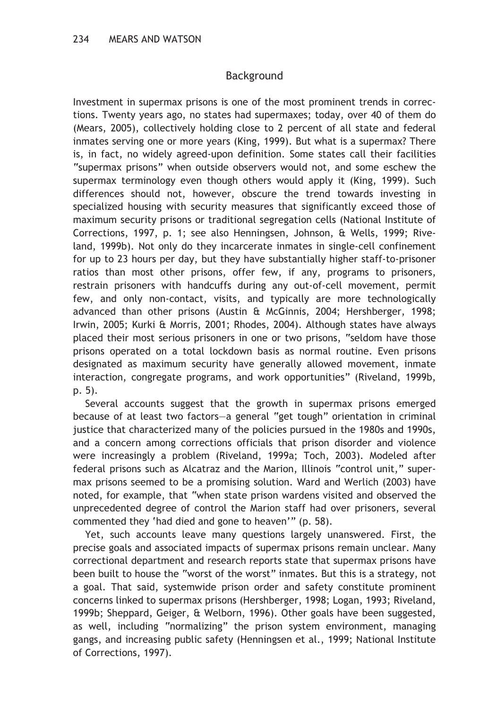## Background

Investment in supermax prisons is one of the most prominent trends in corrections. Twenty years ago, no states had supermaxes; today, over 40 of them do (Mears, 2005), collectively holding close to 2 percent of all state and federal inmates serving one or more years (King, 1999). But what is a supermax? There is, in fact, no widely agreed-upon definition. Some states call their facilities "supermax prisons" when outside observers would not, and some eschew the supermax terminology even though others would apply it (King, 1999). Such differences should not, however, obscure the trend towards investing in specialized housing with security measures that significantly exceed those of maximum security prisons or traditional segregation cells (National Institute of Corrections, 1997, p. 1; see also Henningsen, Johnson, & Wells, 1999; Riveland, 1999b). Not only do they incarcerate inmates in single-cell confinement for up to 23 hours per day, but they have substantially higher staff-to-prisoner ratios than most other prisons, offer few, if any, programs to prisoners, restrain prisoners with handcuffs during any out-of-cell movement, permit few, and only non-contact, visits, and typically are more technologically advanced than other prisons (Austin & McGinnis, 2004; Hershberger, 1998; Irwin, 2005; Kurki & Morris, 2001; Rhodes, 2004). Although states have always placed their most serious prisoners in one or two prisons, "seldom have those prisons operated on a total lockdown basis as normal routine. Even prisons designated as maximum security have generally allowed movement, inmate interaction, congregate programs, and work opportunities" (Riveland, 1999b, p. 5).

Several accounts suggest that the growth in supermax prisons emerged because of at least two factors—a general "get tough" orientation in criminal justice that characterized many of the policies pursued in the 1980s and 1990s, and a concern among corrections officials that prison disorder and violence were increasingly a problem (Riveland, 1999a; Toch, 2003). Modeled after federal prisons such as Alcatraz and the Marion, Illinois "control unit," supermax prisons seemed to be a promising solution. Ward and Werlich (2003) have noted, for example, that "when state prison wardens visited and observed the unprecedented degree of control the Marion staff had over prisoners, several commented they 'had died and gone to heaven'" (p. 58).

Yet, such accounts leave many questions largely unanswered. First, the precise goals and associated impacts of supermax prisons remain unclear. Many correctional department and research reports state that supermax prisons have been built to house the "worst of the worst" inmates. But this is a strategy, not a goal. That said, systemwide prison order and safety constitute prominent concerns linked to supermax prisons (Hershberger, 1998; Logan, 1993; Riveland, 1999b; Sheppard, Geiger, & Welborn, 1996). Other goals have been suggested, as well, including "normalizing" the prison system environment, managing gangs, and increasing public safety (Henningsen et al., 1999; National Institute of Corrections, 1997).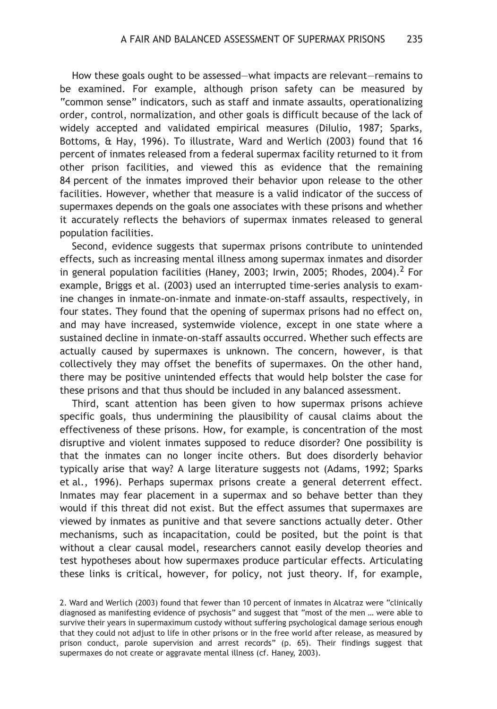How these goals ought to be assessed—what impacts are relevant—remains to be examined. For example, although prison safety can be measured by "common sense" indicators, such as staff and inmate assaults, operationalizing order, control, normalization, and other goals is difficult because of the lack of widely accepted and validated empirical measures (DiIulio, 1987; Sparks, Bottoms, & Hay, 1996). To illustrate, Ward and Werlich (2003) found that 16 percent of inmates released from a federal supermax facility returned to it from other prison facilities, and viewed this as evidence that the remaining 84 percent of the inmates improved their behavior upon release to the other facilities. However, whether that measure is a valid indicator of the success of supermaxes depends on the goals one associates with these prisons and whether it accurately reflects the behaviors of supermax inmates released to general population facilities.

Second, evidence suggests that supermax prisons contribute to unintended effects, such as increasing mental illness among supermax inmates and disorder in general population facilities (Haney, 2003; Irwin, 2005; Rhodes, 2004).<sup>2</sup> For example, Briggs et al. (2003) used an interrupted time-series analysis to examine changes in inmate-on-inmate and inmate-on-staff assaults, respectively, in four states. They found that the opening of supermax prisons had no effect on, and may have increased, systemwide violence, except in one state where a sustained decline in inmate-on-staff assaults occurred. Whether such effects are actually caused by supermaxes is unknown. The concern, however, is that collectively they may offset the benefits of supermaxes. On the other hand, there may be positive unintended effects that would help bolster the case for these prisons and that thus should be included in any balanced assessment.

Third, scant attention has been given to how supermax prisons achieve specific goals, thus undermining the plausibility of causal claims about the effectiveness of these prisons. How, for example, is concentration of the most disruptive and violent inmates supposed to reduce disorder? One possibility is that the inmates can no longer incite others. But does disorderly behavior typically arise that way? A large literature suggests not (Adams, 1992; Sparks et al., 1996). Perhaps supermax prisons create a general deterrent effect. Inmates may fear placement in a supermax and so behave better than they would if this threat did not exist. But the effect assumes that supermaxes are viewed by inmates as punitive and that severe sanctions actually deter. Other mechanisms, such as incapacitation, could be posited, but the point is that without a clear causal model, researchers cannot easily develop theories and test hypotheses about how supermaxes produce particular effects. Articulating these links is critical, however, for policy, not just theory. If, for example,

<sup>2.</sup> Ward and Werlich (2003) found that fewer than 10 percent of inmates in Alcatraz were "clinically diagnosed as manifesting evidence of psychosis" and suggest that "most of the men … were able to survive their years in supermaximum custody without suffering psychological damage serious enough that they could not adjust to life in other prisons or in the free world after release, as measured by prison conduct, parole supervision and arrest records" (p. 65). Their findings suggest that supermaxes do not create or aggravate mental illness (cf. Haney, 2003).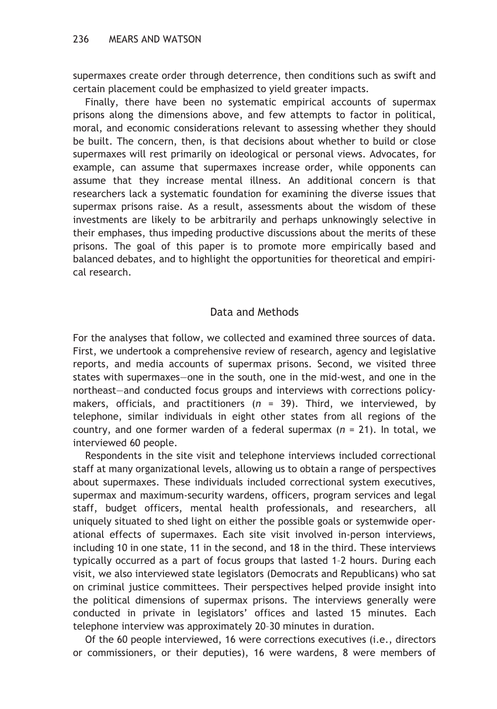supermaxes create order through deterrence, then conditions such as swift and certain placement could be emphasized to yield greater impacts.

Finally, there have been no systematic empirical accounts of supermax prisons along the dimensions above, and few attempts to factor in political, moral, and economic considerations relevant to assessing whether they should be built. The concern, then, is that decisions about whether to build or close supermaxes will rest primarily on ideological or personal views. Advocates, for example, can assume that supermaxes increase order, while opponents can assume that they increase mental illness. An additional concern is that researchers lack a systematic foundation for examining the diverse issues that supermax prisons raise. As a result, assessments about the wisdom of these investments are likely to be arbitrarily and perhaps unknowingly selective in their emphases, thus impeding productive discussions about the merits of these prisons. The goal of this paper is to promote more empirically based and balanced debates, and to highlight the opportunities for theoretical and empirical research.

## Data and Methods

For the analyses that follow, we collected and examined three sources of data. First, we undertook a comprehensive review of research, agency and legislative reports, and media accounts of supermax prisons. Second, we visited three states with supermaxes—one in the south, one in the mid-west, and one in the northeast—and conducted focus groups and interviews with corrections policymakers, officials, and practitioners (*n* = 39). Third, we interviewed, by telephone, similar individuals in eight other states from all regions of the country, and one former warden of a federal supermax (*n* = 21). In total, we interviewed 60 people.

Respondents in the site visit and telephone interviews included correctional staff at many organizational levels, allowing us to obtain a range of perspectives about supermaxes. These individuals included correctional system executives, supermax and maximum-security wardens, officers, program services and legal staff, budget officers, mental health professionals, and researchers, all uniquely situated to shed light on either the possible goals or systemwide operational effects of supermaxes. Each site visit involved in-person interviews, including 10 in one state, 11 in the second, and 18 in the third. These interviews typically occurred as a part of focus groups that lasted 1–2 hours. During each visit, we also interviewed state legislators (Democrats and Republicans) who sat on criminal justice committees. Their perspectives helped provide insight into the political dimensions of supermax prisons. The interviews generally were conducted in private in legislators' offices and lasted 15 minutes. Each telephone interview was approximately 20–30 minutes in duration.

Of the 60 people interviewed, 16 were corrections executives (i.e., directors or commissioners, or their deputies), 16 were wardens, 8 were members of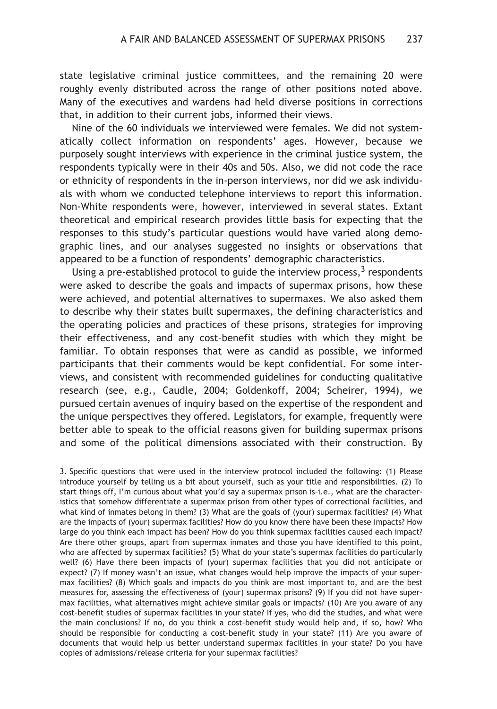state legislative criminal justice committees, and the remaining 20 were roughly evenly distributed across the range of other positions noted above. Many of the executives and wardens had held diverse positions in corrections that, in addition to their current jobs, informed their views.

Nine of the 60 individuals we interviewed were females. We did not systematically collect information on respondents' ages. However, because we purposely sought interviews with experience in the criminal justice system, the respondents typically were in their 40s and 50s. Also, we did not code the race or ethnicity of respondents in the in-person interviews, nor did we ask individuals with whom we conducted telephone interviews to report this information. Non-White respondents were, however, interviewed in several states. Extant theoretical and empirical research provides little basis for expecting that the responses to this study's particular questions would have varied along demographic lines, and our analyses suggested no insights or observations that appeared to be a function of respondents' demographic characteristics.

Using a pre-established protocol to guide the interview process,  $3$  respondents were asked to describe the goals and impacts of supermax prisons, how these were achieved, and potential alternatives to supermaxes. We also asked them to describe why their states built supermaxes, the defining characteristics and the operating policies and practices of these prisons, strategies for improving their effectiveness, and any cost–benefit studies with which they might be familiar. To obtain responses that were as candid as possible, we informed participants that their comments would be kept confidential. For some interviews, and consistent with recommended guidelines for conducting qualitative research (see, e.g., Caudle, 2004; Goldenkoff, 2004; Scheirer, 1994), we pursued certain avenues of inquiry based on the expertise of the respondent and the unique perspectives they offered. Legislators, for example, frequently were better able to speak to the official reasons given for building supermax prisons and some of the political dimensions associated with their construction. By

3. Specific questions that were used in the interview protocol included the following: (1) Please introduce yourself by telling us a bit about yourself, such as your title and responsibilities. (2) To start things off, I'm curious about what you'd say a supermax prison is–i.e., what are the characteristics that somehow differentiate a supermax prison from other types of correctional facilities, and what kind of inmates belong in them? (3) What are the goals of (your) supermax facilities? (4) What are the impacts of (your) supermax facilities? How do you know there have been these impacts? How large do you think each impact has been? How do you think supermax facilities caused each impact? Are there other groups, apart from supermax inmates and those you have identified to this point, who are affected by supermax facilities? (5) What do your state's supermax facilities do particularly well? (6) Have there been impacts of (your) supermax facilities that you did not anticipate or expect? (7) If money wasn't an issue, what changes would help improve the impacts of your supermax facilities? (8) Which goals and impacts do you think are most important to, and are the best measures for, assessing the effectiveness of (your) supermax prisons? (9) If you did not have supermax facilities, what alternatives might achieve similar goals or impacts? (10) Are you aware of any cost–benefit studies of supermax facilities in your state? If yes, who did the studies, and what were the main conclusions? If no, do you think a cost–benefit study would help and, if so, how? Who should be responsible for conducting a cost–benefit study in your state? (11) Are you aware of documents that would help us better understand supermax facilities in your state? Do you have copies of admissions/release criteria for your supermax facilities?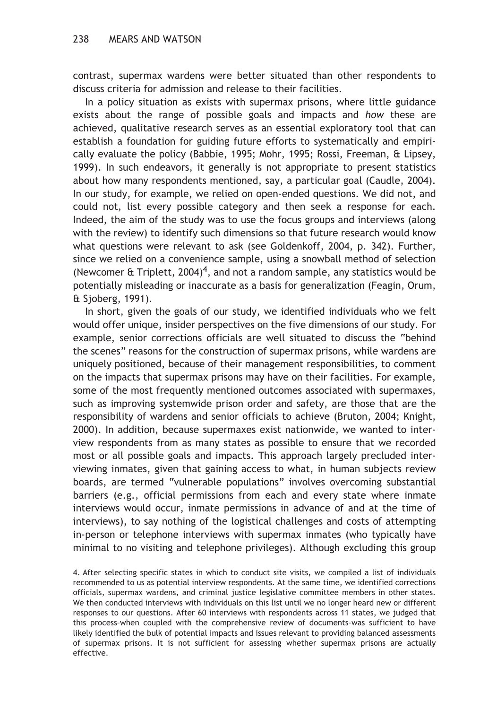contrast, supermax wardens were better situated than other respondents to discuss criteria for admission and release to their facilities.

In a policy situation as exists with supermax prisons, where little guidance exists about the range of possible goals and impacts and *how* these are achieved, qualitative research serves as an essential exploratory tool that can establish a foundation for guiding future efforts to systematically and empirically evaluate the policy (Babbie, 1995; Mohr, 1995; Rossi, Freeman, & Lipsey, 1999). In such endeavors, it generally is not appropriate to present statistics about how many respondents mentioned, say, a particular goal (Caudle, 2004). In our study, for example, we relied on open-ended questions. We did not, and could not, list every possible category and then seek a response for each. Indeed, the aim of the study was to use the focus groups and interviews (along with the review) to identify such dimensions so that future research would know what questions were relevant to ask (see Goldenkoff, 2004, p. 342). Further, since we relied on a convenience sample, using a snowball method of selection (Newcomer & Triplett, 2004)<sup>4</sup>, and not a random sample, any statistics would be potentially misleading or inaccurate as a basis for generalization (Feagin, Orum, & Sjoberg, 1991).

In short, given the goals of our study, we identified individuals who we felt would offer unique, insider perspectives on the five dimensions of our study. For example, senior corrections officials are well situated to discuss the "behind the scenes" reasons for the construction of supermax prisons, while wardens are uniquely positioned, because of their management responsibilities, to comment on the impacts that supermax prisons may have on their facilities. For example, some of the most frequently mentioned outcomes associated with supermaxes, such as improving systemwide prison order and safety, are those that are the responsibility of wardens and senior officials to achieve (Bruton, 2004; Knight, 2000). In addition, because supermaxes exist nationwide, we wanted to interview respondents from as many states as possible to ensure that we recorded most or all possible goals and impacts. This approach largely precluded interviewing inmates, given that gaining access to what, in human subjects review boards, are termed "vulnerable populations" involves overcoming substantial barriers (e.g., official permissions from each and every state where inmate interviews would occur, inmate permissions in advance of and at the time of interviews), to say nothing of the logistical challenges and costs of attempting in-person or telephone interviews with supermax inmates (who typically have minimal to no visiting and telephone privileges). Although excluding this group

<sup>4.</sup> After selecting specific states in which to conduct site visits, we compiled a list of individuals recommended to us as potential interview respondents. At the same time, we identified corrections officials, supermax wardens, and criminal justice legislative committee members in other states. We then conducted interviews with individuals on this list until we no longer heard new or different responses to our questions. After 60 interviews with respondents across 11 states, we judged that this process–when coupled with the comprehensive review of documents–was sufficient to have likely identified the bulk of potential impacts and issues relevant to providing balanced assessments of supermax prisons. It is not sufficient for assessing whether supermax prisons are actually effective.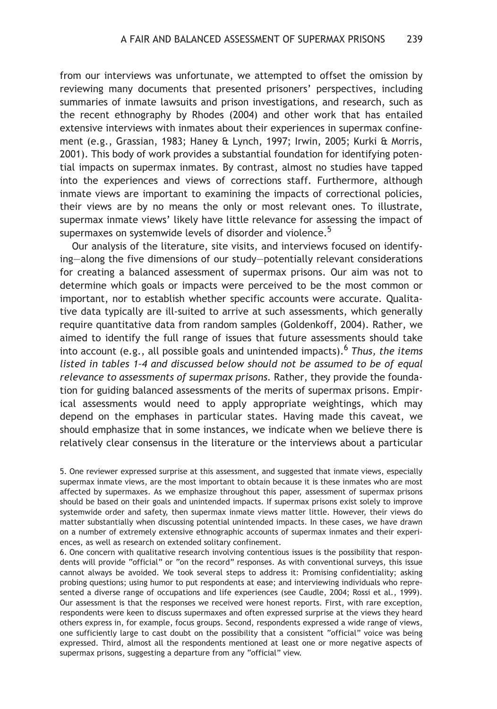from our interviews was unfortunate, we attempted to offset the omission by reviewing many documents that presented prisoners' perspectives, including summaries of inmate lawsuits and prison investigations, and research, such as the recent ethnography by Rhodes (2004) and other work that has entailed extensive interviews with inmates about their experiences in supermax confinement (e.g., Grassian, 1983; Haney & Lynch, 1997; Irwin, 2005; Kurki & Morris, 2001). This body of work provides a substantial foundation for identifying potential impacts on supermax inmates. By contrast, almost no studies have tapped into the experiences and views of corrections staff. Furthermore, although inmate views are important to examining the impacts of correctional policies, their views are by no means the only or most relevant ones. To illustrate, supermax inmate views' likely have little relevance for assessing the impact of supermaxes on systemwide levels of disorder and violence.<sup>5</sup>

Our analysis of the literature, site visits, and interviews focused on identifying—along the five dimensions of our study—potentially relevant considerations for creating a balanced assessment of supermax prisons. Our aim was not to determine which goals or impacts were perceived to be the most common or important, nor to establish whether specific accounts were accurate. Qualitative data typically are ill-suited to arrive at such assessments, which generally require quantitative data from random samples (Goldenkoff, 2004). Rather, we aimed to identify the full range of issues that future assessments should take into account (e.g., all possible goals and unintended impacts).<sup>6</sup> *Thus, the items listed in tables 1–4 and discussed below should not be assumed to be of equal relevance to assessments of supermax prisons.* Rather, they provide the foundation for guiding balanced assessments of the merits of supermax prisons. Empirical assessments would need to apply appropriate weightings, which may depend on the emphases in particular states. Having made this caveat, we should emphasize that in some instances, we indicate when we believe there is relatively clear consensus in the literature or the interviews about a particular

6. One concern with qualitative research involving contentious issues is the possibility that respondents will provide "official" or "on the record" responses. As with conventional surveys, this issue cannot always be avoided. We took several steps to address it: Promising confidentiality; asking probing questions; using humor to put respondents at ease; and interviewing individuals who represented a diverse range of occupations and life experiences (see Caudle, 2004; Rossi et al., 1999). Our assessment is that the responses we received were honest reports. First, with rare exception, respondents were keen to discuss supermaxes and often expressed surprise at the views they heard others express in, for example, focus groups. Second, respondents expressed a wide range of views, one sufficiently large to cast doubt on the possibility that a consistent "official" voice was being expressed. Third, almost all the respondents mentioned at least one or more negative aspects of supermax prisons, suggesting a departure from any "official" view.

<sup>5.</sup> One reviewer expressed surprise at this assessment, and suggested that inmate views, especially supermax inmate views, are the most important to obtain because it is these inmates who are most affected by supermaxes. As we emphasize throughout this paper, assessment of supermax prisons should be based on their goals and unintended impacts. If supermax prisons exist solely to improve systemwide order and safety, then supermax inmate views matter little. However, their views do matter substantially when discussing potential unintended impacts. In these cases, we have drawn on a number of extremely extensive ethnographic accounts of supermax inmates and their experiences, as well as research on extended solitary confinement.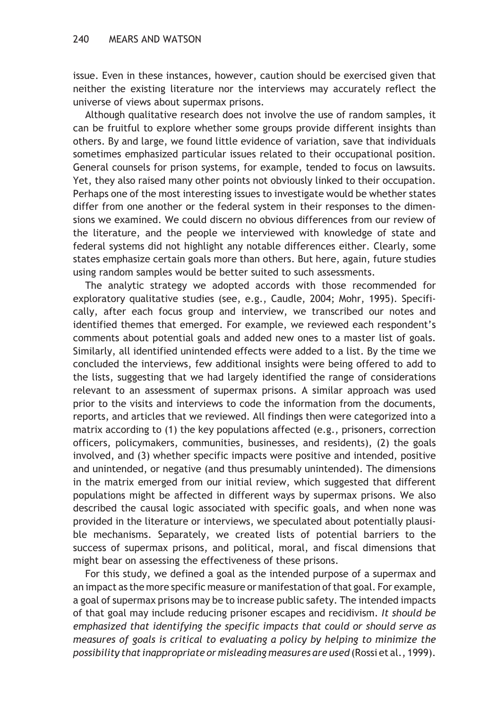issue. Even in these instances, however, caution should be exercised given that neither the existing literature nor the interviews may accurately reflect the universe of views about supermax prisons.

Although qualitative research does not involve the use of random samples, it can be fruitful to explore whether some groups provide different insights than others. By and large, we found little evidence of variation, save that individuals sometimes emphasized particular issues related to their occupational position. General counsels for prison systems, for example, tended to focus on lawsuits. Yet, they also raised many other points not obviously linked to their occupation. Perhaps one of the most interesting issues to investigate would be whether states differ from one another or the federal system in their responses to the dimensions we examined. We could discern no obvious differences from our review of the literature, and the people we interviewed with knowledge of state and federal systems did not highlight any notable differences either. Clearly, some states emphasize certain goals more than others. But here, again, future studies using random samples would be better suited to such assessments.

The analytic strategy we adopted accords with those recommended for exploratory qualitative studies (see, e.g., Caudle, 2004; Mohr, 1995). Specifically, after each focus group and interview, we transcribed our notes and identified themes that emerged. For example, we reviewed each respondent's comments about potential goals and added new ones to a master list of goals. Similarly, all identified unintended effects were added to a list. By the time we concluded the interviews, few additional insights were being offered to add to the lists, suggesting that we had largely identified the range of considerations relevant to an assessment of supermax prisons. A similar approach was used prior to the visits and interviews to code the information from the documents, reports, and articles that we reviewed. All findings then were categorized into a matrix according to (1) the key populations affected (e.g., prisoners, correction officers, policymakers, communities, businesses, and residents), (2) the goals involved, and (3) whether specific impacts were positive and intended, positive and unintended, or negative (and thus presumably unintended). The dimensions in the matrix emerged from our initial review, which suggested that different populations might be affected in different ways by supermax prisons. We also described the causal logic associated with specific goals, and when none was provided in the literature or interviews, we speculated about potentially plausible mechanisms. Separately, we created lists of potential barriers to the success of supermax prisons, and political, moral, and fiscal dimensions that might bear on assessing the effectiveness of these prisons.

For this study, we defined a goal as the intended purpose of a supermax and an impact as the more specific measure or manifestation of that goal. For example, a goal of supermax prisons may be to increase public safety. The intended impacts of that goal may include reducing prisoner escapes and recidivism. *It should be emphasized that identifying the specific impacts that could or should serve as measures of goals is critical to evaluating a policy by helping to minimize the possibility that inappropriate or misleading measures are used* (Rossi et al., 1999).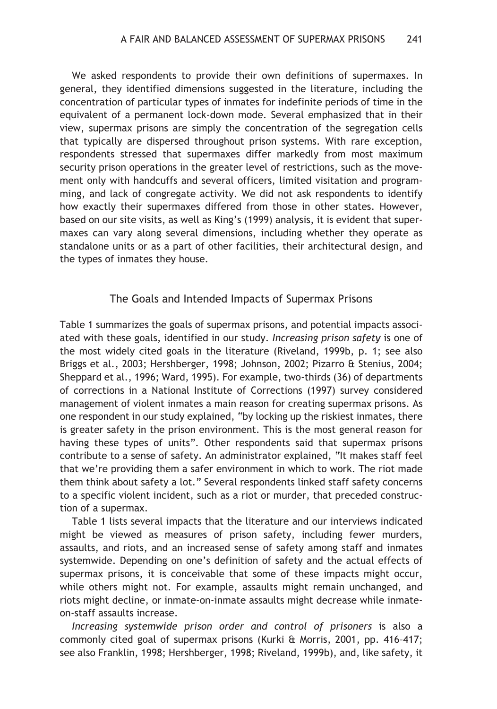We asked respondents to provide their own definitions of supermaxes. In general, they identified dimensions suggested in the literature, including the concentration of particular types of inmates for indefinite periods of time in the equivalent of a permanent lock-down mode. Several emphasized that in their view, supermax prisons are simply the concentration of the segregation cells that typically are dispersed throughout prison systems. With rare exception, respondents stressed that supermaxes differ markedly from most maximum security prison operations in the greater level of restrictions, such as the movement only with handcuffs and several officers, limited visitation and programming, and lack of congregate activity. We did not ask respondents to identify how exactly their supermaxes differed from those in other states. However, based on our site visits, as well as King's (1999) analysis, it is evident that supermaxes can vary along several dimensions, including whether they operate as standalone units or as a part of other facilities, their architectural design, and the types of inmates they house.

## The Goals and Intended Impacts of Supermax Prisons

Table 1 summarizes the goals of supermax prisons, and potential impacts associated with these goals, identified in our study. *Increasing prison safety* is one of the most widely cited goals in the literature (Riveland, 1999b, p. 1; see also Briggs et al., 2003; Hershberger, 1998; Johnson, 2002; Pizarro & Stenius, 2004; Sheppard et al., 1996; Ward, 1995). For example, two-thirds (36) of departments of corrections in a National Institute of Corrections (1997) survey considered management of violent inmates a main reason for creating supermax prisons. As one respondent in our study explained, "by locking up the riskiest inmates, there is greater safety in the prison environment. This is the most general reason for having these types of units". Other respondents said that supermax prisons contribute to a sense of safety. An administrator explained, "It makes staff feel that we're providing them a safer environment in which to work. The riot made them think about safety a lot." Several respondents linked staff safety concerns to a specific violent incident, such as a riot or murder, that preceded construction of a supermax.

Table 1 lists several impacts that the literature and our interviews indicated might be viewed as measures of prison safety, including fewer murders, assaults, and riots, and an increased sense of safety among staff and inmates systemwide. Depending on one's definition of safety and the actual effects of supermax prisons, it is conceivable that some of these impacts might occur, while others might not. For example, assaults might remain unchanged, and riots might decline, or inmate-on-inmate assaults might decrease while inmateon-staff assaults increase.

*Increasing systemwide prison order and control of prisoners* is also a commonly cited goal of supermax prisons (Kurki & Morris, 2001, pp. 416–417; see also Franklin, 1998; Hershberger, 1998; Riveland, 1999b), and, like safety, it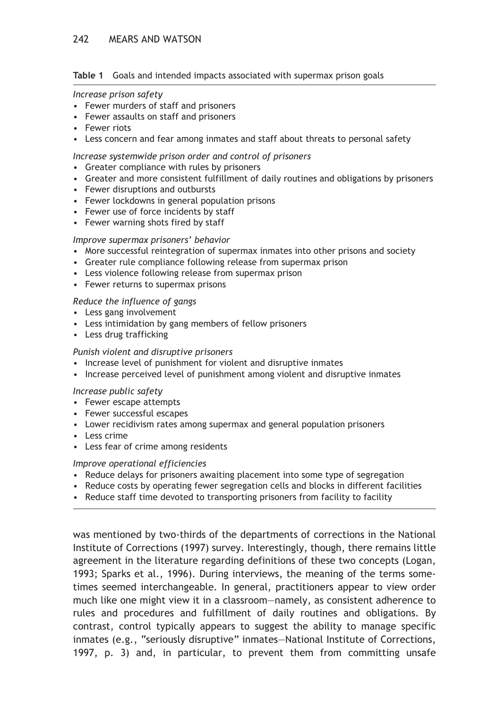## 242 MEARS AND WATSON

#### **Table 1** Goals and intended impacts associated with supermax prison goals

#### *Increase prison safety*

- Fewer murders of staff and prisoners
- Fewer assaults on staff and prisoners
- Fewer riots
- Less concern and fear among inmates and staff about threats to personal safety

#### *Increase systemwide prison order and control of prisoners*

- Greater compliance with rules by prisoners
- Greater and more consistent fulfillment of daily routines and obligations by prisoners
- Fewer disruptions and outbursts
- Fewer lockdowns in general population prisons
- Fewer use of force incidents by staff
- Fewer warning shots fired by staff

#### *Improve supermax prisoners' behavior*

- More successful reintegration of supermax inmates into other prisons and society
- Greater rule compliance following release from supermax prison
- Less violence following release from supermax prison
- Fewer returns to supermax prisons

#### *Reduce the influence of gangs*

- Less gang involvement
- Less intimidation by gang members of fellow prisoners
- Less drug trafficking

#### *Punish violent and disruptive prisoners*

- Increase level of punishment for violent and disruptive inmates
- Increase perceived level of punishment among violent and disruptive inmates

#### *Increase public safety*

- Fewer escape attempts
- Fewer successful escapes
- Lower recidivism rates among supermax and general population prisoners
- Less crime
- Less fear of crime among residents

#### *Improve operational efficiencies*

- Reduce delays for prisoners awaiting placement into some type of segregation
- Reduce costs by operating fewer segregation cells and blocks in different facilities
- Reduce staff time devoted to transporting prisoners from facility to facility

was mentioned by two-thirds of the departments of corrections in the National Institute of Corrections (1997) survey. Interestingly, though, there remains little agreement in the literature regarding definitions of these two concepts (Logan, 1993; Sparks et al., 1996). During interviews, the meaning of the terms sometimes seemed interchangeable. In general, practitioners appear to view order much like one might view it in a classroom—namely, as consistent adherence to rules and procedures and fulfillment of daily routines and obligations. By contrast, control typically appears to suggest the ability to manage specific inmates (e.g., "seriously disruptive" inmates—National Institute of Corrections, 1997, p. 3) and, in particular, to prevent them from committing unsafe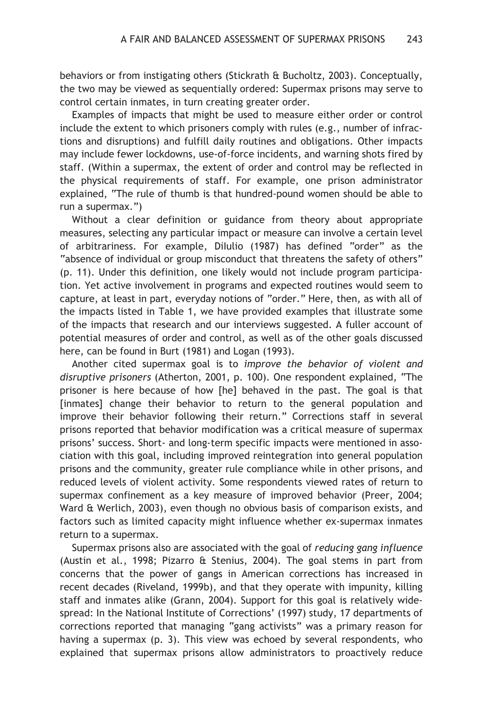behaviors or from instigating others (Stickrath & Bucholtz, 2003). Conceptually, the two may be viewed as sequentially ordered: Supermax prisons may serve to control certain inmates, in turn creating greater order.

Examples of impacts that might be used to measure either order or control include the extent to which prisoners comply with rules (e.g., number of infractions and disruptions) and fulfill daily routines and obligations. Other impacts may include fewer lockdowns, use-of-force incidents, and warning shots fired by staff. (Within a supermax, the extent of order and control may be reflected in the physical requirements of staff. For example, one prison administrator explained, "The rule of thumb is that hundred-pound women should be able to run a supermax.")

Without a clear definition or guidance from theory about appropriate measures, selecting any particular impact or measure can involve a certain level of arbitrariness. For example, DiIulio (1987) has defined "order" as the "absence of individual or group misconduct that threatens the safety of others" (p. 11). Under this definition, one likely would not include program participation. Yet active involvement in programs and expected routines would seem to capture, at least in part, everyday notions of "order." Here, then, as with all of the impacts listed in Table 1, we have provided examples that illustrate some of the impacts that research and our interviews suggested. A fuller account of potential measures of order and control, as well as of the other goals discussed here, can be found in Burt (1981) and Logan (1993).

Another cited supermax goal is to *improve the behavior of violent and disruptive prisoners* (Atherton, 2001, p. 100). One respondent explained, "The prisoner is here because of how [he] behaved in the past. The goal is that [inmates] change their behavior to return to the general population and improve their behavior following their return." Corrections staff in several prisons reported that behavior modification was a critical measure of supermax prisons' success. Short- and long-term specific impacts were mentioned in association with this goal, including improved reintegration into general population prisons and the community, greater rule compliance while in other prisons, and reduced levels of violent activity. Some respondents viewed rates of return to supermax confinement as a key measure of improved behavior (Preer, 2004; Ward & Werlich, 2003), even though no obvious basis of comparison exists, and factors such as limited capacity might influence whether ex-supermax inmates return to a supermax.

Supermax prisons also are associated with the goal of *reducing gang influence* (Austin et al., 1998; Pizarro & Stenius, 2004). The goal stems in part from concerns that the power of gangs in American corrections has increased in recent decades (Riveland, 1999b), and that they operate with impunity, killing staff and inmates alike (Grann, 2004). Support for this goal is relatively widespread: In the National Institute of Corrections' (1997) study, 17 departments of corrections reported that managing "gang activists" was a primary reason for having a supermax (p. 3). This view was echoed by several respondents, who explained that supermax prisons allow administrators to proactively reduce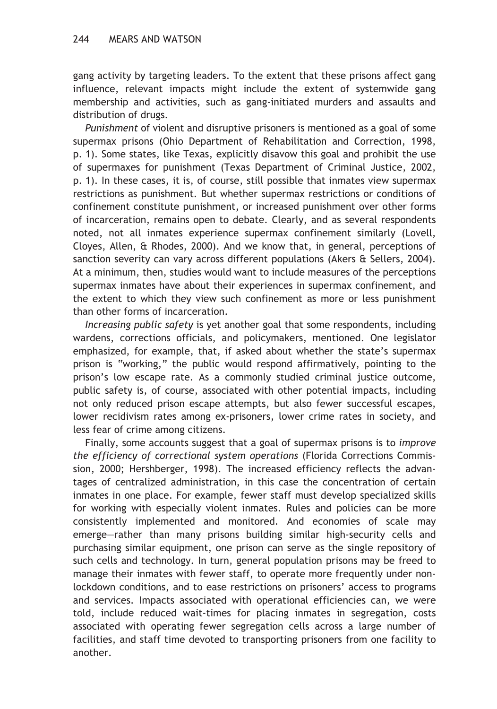gang activity by targeting leaders. To the extent that these prisons affect gang influence, relevant impacts might include the extent of systemwide gang membership and activities, such as gang-initiated murders and assaults and distribution of drugs.

*Punishment* of violent and disruptive prisoners is mentioned as a goal of some supermax prisons (Ohio Department of Rehabilitation and Correction, 1998, p. 1). Some states, like Texas, explicitly disavow this goal and prohibit the use of supermaxes for punishment (Texas Department of Criminal Justice, 2002, p. 1). In these cases, it is, of course, still possible that inmates view supermax restrictions as punishment. But whether supermax restrictions or conditions of confinement constitute punishment, or increased punishment over other forms of incarceration, remains open to debate. Clearly, and as several respondents noted, not all inmates experience supermax confinement similarly (Lovell, Cloyes, Allen, & Rhodes, 2000). And we know that, in general, perceptions of sanction severity can vary across different populations (Akers & Sellers, 2004). At a minimum, then, studies would want to include measures of the perceptions supermax inmates have about their experiences in supermax confinement, and the extent to which they view such confinement as more or less punishment than other forms of incarceration.

*Increasing public safety* is yet another goal that some respondents, including wardens, corrections officials, and policymakers, mentioned. One legislator emphasized, for example, that, if asked about whether the state's supermax prison is "working," the public would respond affirmatively, pointing to the prison's low escape rate. As a commonly studied criminal justice outcome, public safety is, of course, associated with other potential impacts, including not only reduced prison escape attempts, but also fewer successful escapes, lower recidivism rates among ex-prisoners, lower crime rates in society, and less fear of crime among citizens.

Finally, some accounts suggest that a goal of supermax prisons is to *improve the efficiency of correctional system operations* (Florida Corrections Commission, 2000; Hershberger, 1998). The increased efficiency reflects the advantages of centralized administration, in this case the concentration of certain inmates in one place. For example, fewer staff must develop specialized skills for working with especially violent inmates. Rules and policies can be more consistently implemented and monitored. And economies of scale may emerge—rather than many prisons building similar high-security cells and purchasing similar equipment, one prison can serve as the single repository of such cells and technology. In turn, general population prisons may be freed to manage their inmates with fewer staff, to operate more frequently under nonlockdown conditions, and to ease restrictions on prisoners' access to programs and services. Impacts associated with operational efficiencies can, we were told, include reduced wait-times for placing inmates in segregation, costs associated with operating fewer segregation cells across a large number of facilities, and staff time devoted to transporting prisoners from one facility to another.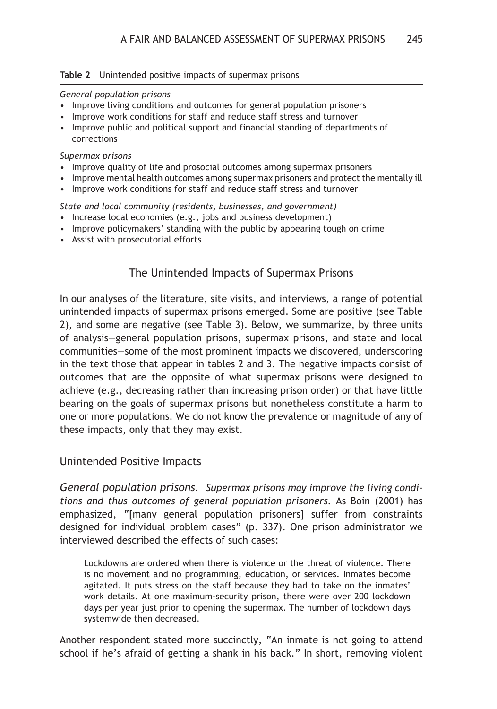#### **Table 2** Unintended positive impacts of supermax prisons

#### *General population prisons*

- Improve living conditions and outcomes for general population prisoners
- Improve work conditions for staff and reduce staff stress and turnover
- Improve public and political support and financial standing of departments of corrections

#### *Supermax prisons*

- Improve quality of life and prosocial outcomes among supermax prisoners
- Improve mental health outcomes among supermax prisoners and protect the mentally ill
- Improve work conditions for staff and reduce staff stress and turnover

## *State and local community (residents, businesses, and government)*

- Increase local economies (e.g., jobs and business development)
- Improve policymakers' standing with the public by appearing tough on crime
- Assist with prosecutorial efforts

## The Unintended Impacts of Supermax Prisons

In our analyses of the literature, site visits, and interviews, a range of potential unintended impacts of supermax prisons emerged. Some are positive (see Table 2), and some are negative (see Table 3). Below, we summarize, by three units of analysis—general population prisons, supermax prisons, and state and local communities—some of the most prominent impacts we discovered, underscoring in the text those that appear in tables 2 and 3. The negative impacts consist of outcomes that are the opposite of what supermax prisons were designed to achieve (e.g., decreasing rather than increasing prison order) or that have little bearing on the goals of supermax prisons but nonetheless constitute a harm to one or more populations. We do not know the prevalence or magnitude of any of these impacts, only that they may exist.

## Unintended Positive Impacts

*General population prisons. Supermax prisons may improve the living conditions and thus outcomes of general population prisoners*. As Boin (2001) has emphasized, "[many general population prisoners] suffer from constraints designed for individual problem cases" (p. 337). One prison administrator we interviewed described the effects of such cases:

Lockdowns are ordered when there is violence or the threat of violence. There is no movement and no programming, education, or services. Inmates become agitated. It puts stress on the staff because they had to take on the inmates' work details. At one maximum-security prison, there were over 200 lockdown days per year just prior to opening the supermax. The number of lockdown days systemwide then decreased.

Another respondent stated more succinctly, "An inmate is not going to attend school if he's afraid of getting a shank in his back." In short, removing violent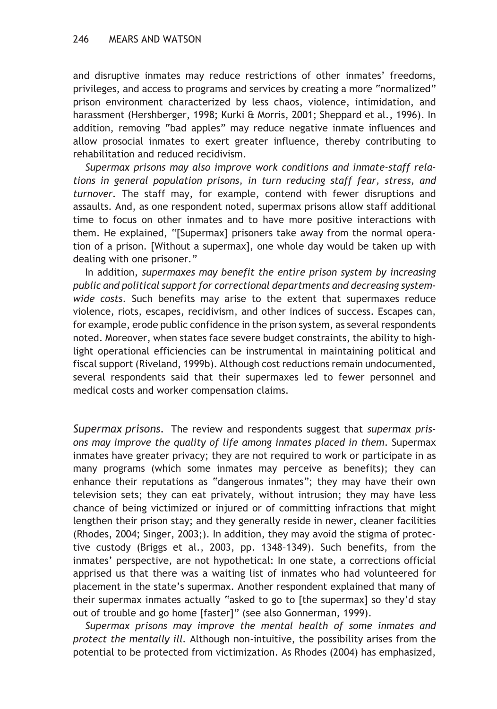and disruptive inmates may reduce restrictions of other inmates' freedoms, privileges, and access to programs and services by creating a more "normalized" prison environment characterized by less chaos, violence, intimidation, and harassment (Hershberger, 1998; Kurki & Morris, 2001; Sheppard et al., 1996). In addition, removing "bad apples" may reduce negative inmate influences and allow prosocial inmates to exert greater influence, thereby contributing to rehabilitation and reduced recidivism.

*Supermax prisons may also improve work conditions and inmate-staff relations in general population prisons, in turn reducing staff fear, stress, and turnover.* The staff may, for example, contend with fewer disruptions and assaults. And, as one respondent noted, supermax prisons allow staff additional time to focus on other inmates and to have more positive interactions with them. He explained, "[Supermax] prisoners take away from the normal operation of a prison. [Without a supermax], one whole day would be taken up with dealing with one prisoner."

In addition, *supermaxes may benefit the entire prison system by increasing public and political support for correctional departments and decreasing systemwide costs*. Such benefits may arise to the extent that supermaxes reduce violence, riots, escapes, recidivism, and other indices of success. Escapes can, for example, erode public confidence in the prison system, as several respondents noted. Moreover, when states face severe budget constraints, the ability to highlight operational efficiencies can be instrumental in maintaining political and fiscal support (Riveland, 1999b). Although cost reductions remain undocumented, several respondents said that their supermaxes led to fewer personnel and medical costs and worker compensation claims.

*Supermax prisons.* The review and respondents suggest that *supermax prisons may improve the quality of life among inmates placed in them*. Supermax inmates have greater privacy; they are not required to work or participate in as many programs (which some inmates may perceive as benefits); they can enhance their reputations as "dangerous inmates"; they may have their own television sets; they can eat privately, without intrusion; they may have less chance of being victimized or injured or of committing infractions that might lengthen their prison stay; and they generally reside in newer, cleaner facilities (Rhodes, 2004; Singer, 2003;). In addition, they may avoid the stigma of protective custody (Briggs et al., 2003, pp. 1348–1349). Such benefits, from the inmates' perspective, are not hypothetical: In one state, a corrections official apprised us that there was a waiting list of inmates who had volunteered for placement in the state's supermax. Another respondent explained that many of their supermax inmates actually "asked to go to [the supermax] so they'd stay out of trouble and go home [faster]" (see also Gonnerman, 1999).

*Supermax prisons may improve the mental health of some inmates and protect the mentally ill.* Although non-intuitive, the possibility arises from the potential to be protected from victimization. As Rhodes (2004) has emphasized,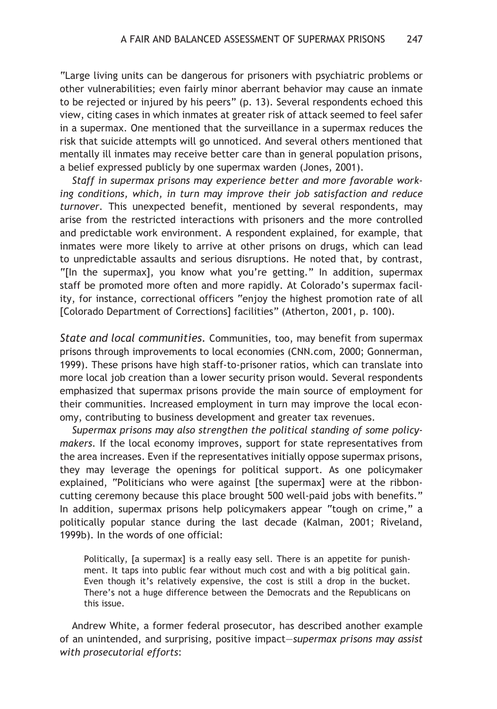"Large living units can be dangerous for prisoners with psychiatric problems or other vulnerabilities; even fairly minor aberrant behavior may cause an inmate to be rejected or injured by his peers" (p. 13). Several respondents echoed this view, citing cases in which inmates at greater risk of attack seemed to feel safer in a supermax. One mentioned that the surveillance in a supermax reduces the risk that suicide attempts will go unnoticed. And several others mentioned that mentally ill inmates may receive better care than in general population prisons, a belief expressed publicly by one supermax warden (Jones, 2001).

*Staff in supermax prisons may experience better and more favorable working conditions, which, in turn may improve their job satisfaction and reduce turnover.* This unexpected benefit, mentioned by several respondents, may arise from the restricted interactions with prisoners and the more controlled and predictable work environment. A respondent explained, for example, that inmates were more likely to arrive at other prisons on drugs, which can lead to unpredictable assaults and serious disruptions. He noted that, by contrast, "[In the supermax], you know what you're getting." In addition, supermax staff be promoted more often and more rapidly. At Colorado's supermax facility, for instance, correctional officers "enjoy the highest promotion rate of all [Colorado Department of Corrections] facilities" (Atherton, 2001, p. 100).

*State and local communities.* Communities, too, may benefit from supermax prisons through improvements to local economies (CNN.com, 2000; Gonnerman, 1999). These prisons have high staff-to-prisoner ratios, which can translate into more local job creation than a lower security prison would. Several respondents emphasized that supermax prisons provide the main source of employment for their communities. Increased employment in turn may improve the local economy, contributing to business development and greater tax revenues.

*Supermax prisons may also strengthen the political standing of some policymakers.* If the local economy improves, support for state representatives from the area increases. Even if the representatives initially oppose supermax prisons, they may leverage the openings for political support. As one policymaker explained, "Politicians who were against [the supermax] were at the ribboncutting ceremony because this place brought 500 well-paid jobs with benefits." In addition, supermax prisons help policymakers appear "tough on crime," a politically popular stance during the last decade (Kalman, 2001; Riveland, 1999b). In the words of one official:

Politically, [a supermax] is a really easy sell. There is an appetite for punishment. It taps into public fear without much cost and with a big political gain. Even though it's relatively expensive, the cost is still a drop in the bucket. There's not a huge difference between the Democrats and the Republicans on this issue.

Andrew White, a former federal prosecutor, has described another example of an unintended, and surprising, positive impact—*supermax prisons may assist with prosecutorial efforts*: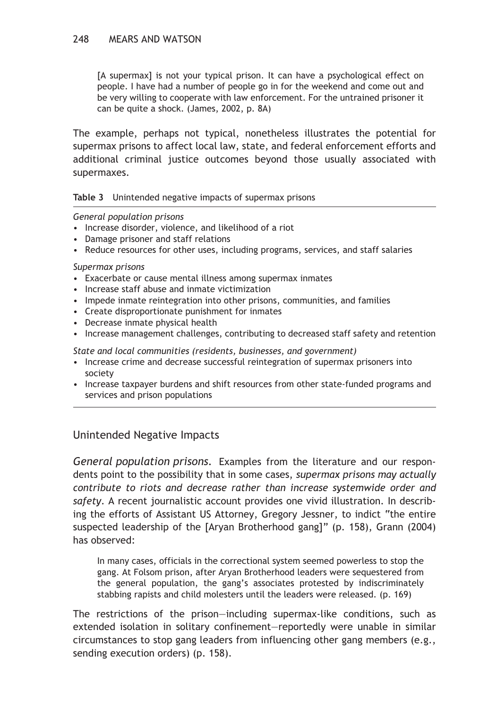## 248 MEARS AND WATSON

[A supermax] is not your typical prison. It can have a psychological effect on people. I have had a number of people go in for the weekend and come out and be very willing to cooperate with law enforcement. For the untrained prisoner it can be quite a shock. (James, 2002, p. 8A)

The example, perhaps not typical, nonetheless illustrates the potential for supermax prisons to affect local law, state, and federal enforcement efforts and additional criminal justice outcomes beyond those usually associated with supermaxes.

**Table 3** Unintended negative impacts of supermax prisons

*General population prisons*

- Increase disorder, violence, and likelihood of a riot
- Damage prisoner and staff relations
- Reduce resources for other uses, including programs, services, and staff salaries

#### *Supermax prisons*

- Exacerbate or cause mental illness among supermax inmates
- Increase staff abuse and inmate victimization
- Impede inmate reintegration into other prisons, communities, and families
- Create disproportionate punishment for inmates
- Decrease inmate physical health
- Increase management challenges, contributing to decreased staff safety and retention

*State and local communities (residents, businesses, and government)*

- Increase crime and decrease successful reintegration of supermax prisoners into society
- Increase taxpayer burdens and shift resources from other state-funded programs and services and prison populations

## Unintended Negative Impacts

*General population prisons.* Examples from the literature and our respondents point to the possibility that in some cases, *supermax prisons may actually contribute to riots and decrease rather than increase systemwide order and safety*. A recent journalistic account provides one vivid illustration. In describing the efforts of Assistant US Attorney, Gregory Jessner, to indict "the entire suspected leadership of the [Aryan Brotherhood gang]" (p. 158), Grann (2004) has observed:

In many cases, officials in the correctional system seemed powerless to stop the gang. At Folsom prison, after Aryan Brotherhood leaders were sequestered from the general population, the gang's associates protested by indiscriminately stabbing rapists and child molesters until the leaders were released. (p. 169)

The restrictions of the prison—including supermax-like conditions, such as extended isolation in solitary confinement—reportedly were unable in similar circumstances to stop gang leaders from influencing other gang members (e.g., sending execution orders) (p. 158).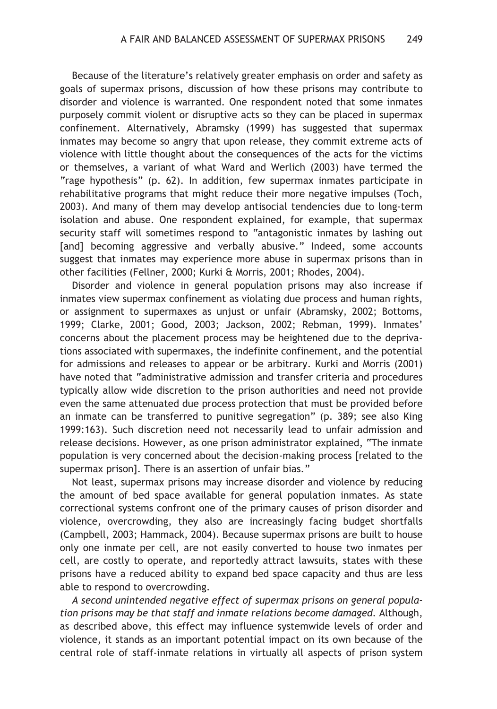Because of the literature's relatively greater emphasis on order and safety as goals of supermax prisons, discussion of how these prisons may contribute to disorder and violence is warranted. One respondent noted that some inmates purposely commit violent or disruptive acts so they can be placed in supermax confinement. Alternatively, Abramsky (1999) has suggested that supermax inmates may become so angry that upon release, they commit extreme acts of violence with little thought about the consequences of the acts for the victims or themselves, a variant of what Ward and Werlich (2003) have termed the "rage hypothesis" (p. 62). In addition, few supermax inmates participate in rehabilitative programs that might reduce their more negative impulses (Toch, 2003). And many of them may develop antisocial tendencies due to long-term isolation and abuse. One respondent explained, for example, that supermax security staff will sometimes respond to "antagonistic inmates by lashing out [and] becoming aggressive and verbally abusive." Indeed, some accounts suggest that inmates may experience more abuse in supermax prisons than in other facilities (Fellner, 2000; Kurki & Morris, 2001; Rhodes, 2004).

Disorder and violence in general population prisons may also increase if inmates view supermax confinement as violating due process and human rights, or assignment to supermaxes as unjust or unfair (Abramsky, 2002; Bottoms, 1999; Clarke, 2001; Good, 2003; Jackson, 2002; Rebman, 1999). Inmates' concerns about the placement process may be heightened due to the deprivations associated with supermaxes, the indefinite confinement, and the potential for admissions and releases to appear or be arbitrary. Kurki and Morris (2001) have noted that "administrative admission and transfer criteria and procedures typically allow wide discretion to the prison authorities and need not provide even the same attenuated due process protection that must be provided before an inmate can be transferred to punitive segregation" (p. 389; see also King 1999:163). Such discretion need not necessarily lead to unfair admission and release decisions. However, as one prison administrator explained, "The inmate population is very concerned about the decision-making process [related to the supermax prison]. There is an assertion of unfair bias."

Not least, supermax prisons may increase disorder and violence by reducing the amount of bed space available for general population inmates. As state correctional systems confront one of the primary causes of prison disorder and violence, overcrowding, they also are increasingly facing budget shortfalls (Campbell, 2003; Hammack, 2004). Because supermax prisons are built to house only one inmate per cell, are not easily converted to house two inmates per cell, are costly to operate, and reportedly attract lawsuits, states with these prisons have a reduced ability to expand bed space capacity and thus are less able to respond to overcrowding.

*A second unintended negative effect of supermax prisons on general population prisons may be that staff and inmate relations become damaged.* Although, as described above, this effect may influence systemwide levels of order and violence, it stands as an important potential impact on its own because of the central role of staff-inmate relations in virtually all aspects of prison system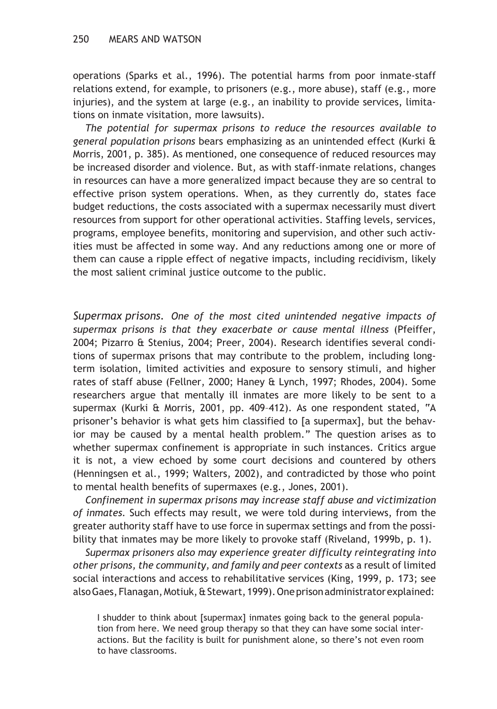operations (Sparks et al., 1996). The potential harms from poor inmate-staff relations extend, for example, to prisoners (e.g., more abuse), staff (e.g., more injuries), and the system at large (e.g., an inability to provide services, limitations on inmate visitation, more lawsuits).

*The potential for supermax prisons to reduce the resources available to general population prisons* bears emphasizing as an unintended effect (Kurki & Morris, 2001, p. 385). As mentioned, one consequence of reduced resources may be increased disorder and violence. But, as with staff-inmate relations, changes in resources can have a more generalized impact because they are so central to effective prison system operations. When, as they currently do, states face budget reductions, the costs associated with a supermax necessarily must divert resources from support for other operational activities. Staffing levels, services, programs, employee benefits, monitoring and supervision, and other such activities must be affected in some way. And any reductions among one or more of them can cause a ripple effect of negative impacts, including recidivism, likely the most salient criminal justice outcome to the public.

*Supermax prisons. One of the most cited unintended negative impacts of supermax prisons is that they exacerbate or cause mental illness* (Pfeiffer, 2004; Pizarro & Stenius, 2004; Preer, 2004). Research identifies several conditions of supermax prisons that may contribute to the problem, including longterm isolation, limited activities and exposure to sensory stimuli, and higher rates of staff abuse (Fellner, 2000; Haney & Lynch, 1997; Rhodes, 2004). Some researchers argue that mentally ill inmates are more likely to be sent to a supermax (Kurki & Morris, 2001, pp. 409–412). As one respondent stated, "A prisoner's behavior is what gets him classified to [a supermax], but the behavior may be caused by a mental health problem." The question arises as to whether supermax confinement is appropriate in such instances. Critics argue it is not, a view echoed by some court decisions and countered by others (Henningsen et al., 1999; Walters, 2002), and contradicted by those who point to mental health benefits of supermaxes (e.g., Jones, 2001).

*Confinement in supermax prisons may increase staff abuse and victimization of inmates.* Such effects may result, we were told during interviews, from the greater authority staff have to use force in supermax settings and from the possibility that inmates may be more likely to provoke staff (Riveland, 1999b, p. 1).

*Supermax prisoners also may experience greater difficulty reintegrating into other prisons, the community, and family and peer contexts* as a result of limited social interactions and access to rehabilitative services (King, 1999, p. 173; see also Gaes, Flanagan, Motiuk, & Stewart, 1999). One prison administrator explained:

I shudder to think about [supermax] inmates going back to the general population from here. We need group therapy so that they can have some social interactions. But the facility is built for punishment alone, so there's not even room to have classrooms.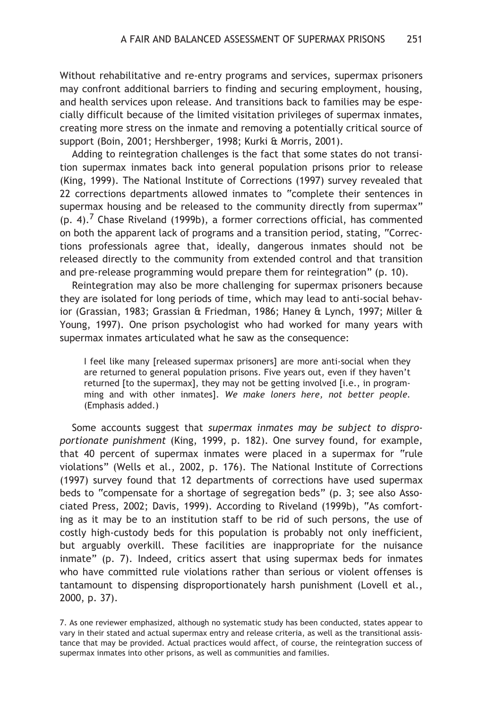Without rehabilitative and re-entry programs and services, supermax prisoners may confront additional barriers to finding and securing employment, housing, and health services upon release. And transitions back to families may be especially difficult because of the limited visitation privileges of supermax inmates, creating more stress on the inmate and removing a potentially critical source of support (Boin, 2001; Hershberger, 1998; Kurki & Morris, 2001).

Adding to reintegration challenges is the fact that some states do not transition supermax inmates back into general population prisons prior to release (King, 1999). The National Institute of Corrections (1997) survey revealed that 22 corrections departments allowed inmates to "complete their sentences in supermax housing and be released to the community directly from supermax" (p. 4).<sup>7</sup> Chase Riveland (1999b), a former corrections official, has commented on both the apparent lack of programs and a transition period, stating, "Corrections professionals agree that, ideally, dangerous inmates should not be released directly to the community from extended control and that transition and pre-release programming would prepare them for reintegration" (p. 10).

Reintegration may also be more challenging for supermax prisoners because they are isolated for long periods of time, which may lead to anti-social behavior (Grassian, 1983; Grassian & Friedman, 1986; Haney & Lynch, 1997; Miller & Young, 1997). One prison psychologist who had worked for many years with supermax inmates articulated what he saw as the consequence:

I feel like many [released supermax prisoners] are more anti-social when they are returned to general population prisons. Five years out, even if they haven't returned [to the supermax], they may not be getting involved [i.e., in programming and with other inmates]. *We make loners here, not better people.* (Emphasis added.)

Some accounts suggest that *supermax inmates may be subject to disproportionate punishment* (King, 1999, p. 182). One survey found, for example, that 40 percent of supermax inmates were placed in a supermax for "rule violations" (Wells et al., 2002, p. 176). The National Institute of Corrections (1997) survey found that 12 departments of corrections have used supermax beds to "compensate for a shortage of segregation beds" (p. 3; see also Associated Press, 2002; Davis, 1999). According to Riveland (1999b), "As comforting as it may be to an institution staff to be rid of such persons, the use of costly high-custody beds for this population is probably not only inefficient, but arguably overkill. These facilities are inappropriate for the nuisance inmate" (p. 7). Indeed, critics assert that using supermax beds for inmates who have committed rule violations rather than serious or violent offenses is tantamount to dispensing disproportionately harsh punishment (Lovell et al., 2000, p. 37).

7. As one reviewer emphasized, although no systematic study has been conducted, states appear to vary in their stated and actual supermax entry and release criteria, as well as the transitional assistance that may be provided. Actual practices would affect, of course, the reintegration success of supermax inmates into other prisons, as well as communities and families.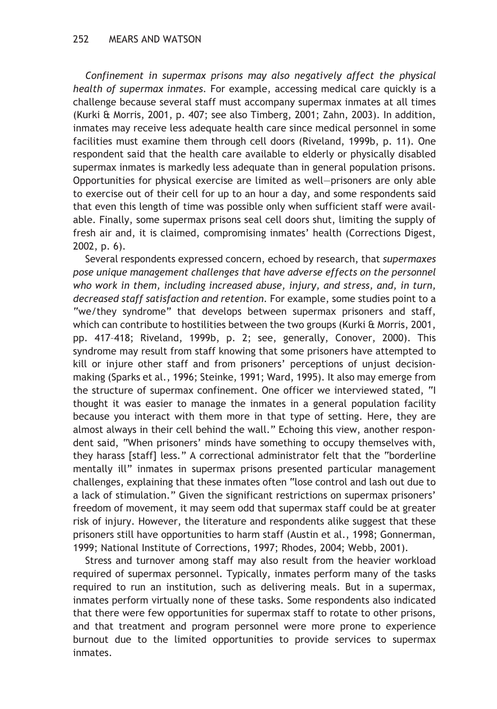*Confinement in supermax prisons may also negatively affect the physical health of supermax inmates.* For example, accessing medical care quickly is a challenge because several staff must accompany supermax inmates at all times (Kurki & Morris, 2001, p. 407; see also Timberg, 2001; Zahn, 2003). In addition, inmates may receive less adequate health care since medical personnel in some facilities must examine them through cell doors (Riveland, 1999b, p. 11). One respondent said that the health care available to elderly or physically disabled supermax inmates is markedly less adequate than in general population prisons. Opportunities for physical exercise are limited as well—prisoners are only able to exercise out of their cell for up to an hour a day, and some respondents said that even this length of time was possible only when sufficient staff were available. Finally, some supermax prisons seal cell doors shut, limiting the supply of fresh air and, it is claimed, compromising inmates' health (Corrections Digest, 2002, p. 6).

Several respondents expressed concern, echoed by research, that *supermaxes pose unique management challenges that have adverse effects on the personnel who work in them, including increased abuse, injury, and stress, and, in turn, decreased staff satisfaction and retention*. For example, some studies point to a "we/they syndrome" that develops between supermax prisoners and staff, which can contribute to hostilities between the two groups (Kurki & Morris, 2001, pp. 417–418; Riveland, 1999b, p. 2; see, generally, Conover, 2000). This syndrome may result from staff knowing that some prisoners have attempted to kill or injure other staff and from prisoners' perceptions of unjust decisionmaking (Sparks et al., 1996; Steinke, 1991; Ward, 1995). It also may emerge from the structure of supermax confinement. One officer we interviewed stated, "I thought it was easier to manage the inmates in a general population facility because you interact with them more in that type of setting. Here, they are almost always in their cell behind the wall." Echoing this view, another respondent said, "When prisoners' minds have something to occupy themselves with, they harass [staff] less." A correctional administrator felt that the "borderline mentally ill" inmates in supermax prisons presented particular management challenges, explaining that these inmates often "lose control and lash out due to a lack of stimulation." Given the significant restrictions on supermax prisoners' freedom of movement, it may seem odd that supermax staff could be at greater risk of injury. However, the literature and respondents alike suggest that these prisoners still have opportunities to harm staff (Austin et al., 1998; Gonnerman, 1999; National Institute of Corrections, 1997; Rhodes, 2004; Webb, 2001).

Stress and turnover among staff may also result from the heavier workload required of supermax personnel. Typically, inmates perform many of the tasks required to run an institution, such as delivering meals. But in a supermax, inmates perform virtually none of these tasks. Some respondents also indicated that there were few opportunities for supermax staff to rotate to other prisons, and that treatment and program personnel were more prone to experience burnout due to the limited opportunities to provide services to supermax inmates.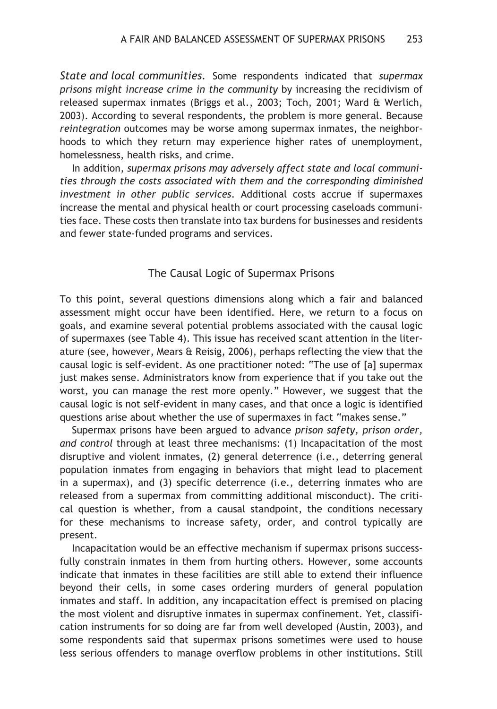*State and local communities.* Some respondents indicated that *supermax prisons might increase crime in the community* by increasing the recidivism of released supermax inmates (Briggs et al., 2003; Toch, 2001; Ward & Werlich, 2003). According to several respondents, the problem is more general. Because *reintegration* outcomes may be worse among supermax inmates, the neighborhoods to which they return may experience higher rates of unemployment, homelessness, health risks, and crime.

In addition, *supermax prisons may adversely affect state and local communities through the costs associated with them and the corresponding diminished investment in other public services*. Additional costs accrue if supermaxes increase the mental and physical health or court processing caseloads communities face. These costs then translate into tax burdens for businesses and residents and fewer state-funded programs and services.

## The Causal Logic of Supermax Prisons

To this point, several questions dimensions along which a fair and balanced assessment might occur have been identified. Here, we return to a focus on goals, and examine several potential problems associated with the causal logic of supermaxes (see Table 4). This issue has received scant attention in the literature (see, however, Mears & Reisig, 2006), perhaps reflecting the view that the causal logic is self-evident. As one practitioner noted: "The use of [a] supermax just makes sense. Administrators know from experience that if you take out the worst, you can manage the rest more openly." However, we suggest that the causal logic is not self-evident in many cases, and that once a logic is identified questions arise about whether the use of supermaxes in fact "makes sense."

Supermax prisons have been argued to advance *prison safety, prison order, and control* through at least three mechanisms: (1) Incapacitation of the most disruptive and violent inmates, (2) general deterrence (i.e., deterring general population inmates from engaging in behaviors that might lead to placement in a supermax), and (3) specific deterrence (i.e., deterring inmates who are released from a supermax from committing additional misconduct). The critical question is whether, from a causal standpoint, the conditions necessary for these mechanisms to increase safety, order, and control typically are present.

Incapacitation would be an effective mechanism if supermax prisons successfully constrain inmates in them from hurting others. However, some accounts indicate that inmates in these facilities are still able to extend their influence beyond their cells, in some cases ordering murders of general population inmates and staff. In addition, any incapacitation effect is premised on placing the most violent and disruptive inmates in supermax confinement. Yet, classification instruments for so doing are far from well developed (Austin, 2003), and some respondents said that supermax prisons sometimes were used to house less serious offenders to manage overflow problems in other institutions. Still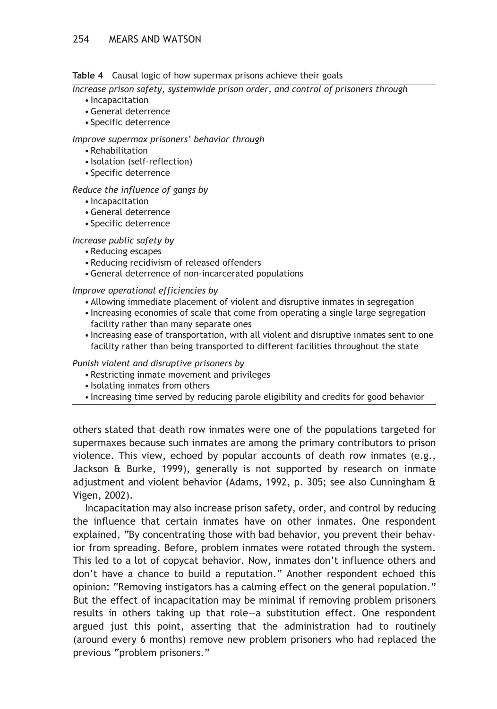## 254 MEARS AND WATSON

#### **Table 4** Causal logic of how supermax prisons achieve their goals

*Increase prison safety, systemwide prison order, and control of prisoners through*

- Incapacitation
- •General deterrence
- Specific deterrence

#### *Improve supermax prisoners' behavior through*

- •Rehabilitation
- Isolation (self-reflection)
- Specific deterrence

#### *Reduce the influence of gangs by*

- Incapacitation
- •General deterrence
- Specific deterrence

## *Increase public safety by*

- •Reducing escapes
- •Reducing recidivism of released offenders
- •General deterrence of non-incarcerated populations

## *Improve operational efficiencies by*

- •Allowing immediate placement of violent and disruptive inmates in segregation
- Increasing economies of scale that come from operating a single large segregation facility rather than many separate ones
- Increasing ease of transportation, with all violent and disruptive inmates sent to one facility rather than being transported to different facilities throughout the state

*Punish violent and disruptive prisoners by*

- •Restricting inmate movement and privileges
- Isolating inmates from others
- Increasing time served by reducing parole eligibility and credits for good behavior

others stated that death row inmates were one of the populations targeted for supermaxes because such inmates are among the primary contributors to prison violence. This view, echoed by popular accounts of death row inmates (e.g., Jackson & Burke, 1999), generally is not supported by research on inmate adjustment and violent behavior (Adams, 1992, p. 305; see also Cunningham & Vigen, 2002).

Incapacitation may also increase prison safety, order, and control by reducing the influence that certain inmates have on other inmates. One respondent explained, "By concentrating those with bad behavior, you prevent their behavior from spreading. Before, problem inmates were rotated through the system. This led to a lot of copycat behavior. Now, inmates don't influence others and don't have a chance to build a reputation." Another respondent echoed this opinion: "Removing instigators has a calming effect on the general population." But the effect of incapacitation may be minimal if removing problem prisoners results in others taking up that role—a substitution effect. One respondent argued just this point, asserting that the administration had to routinely (around every 6 months) remove new problem prisoners who had replaced the previous "problem prisoners."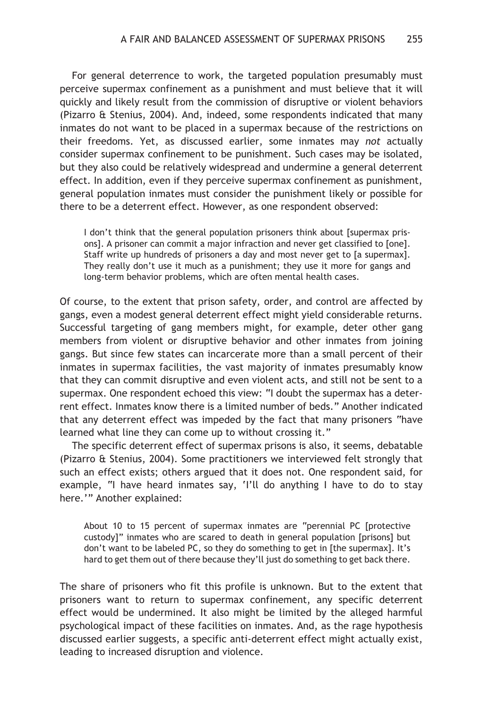For general deterrence to work, the targeted population presumably must perceive supermax confinement as a punishment and must believe that it will quickly and likely result from the commission of disruptive or violent behaviors (Pizarro & Stenius, 2004). And, indeed, some respondents indicated that many inmates do not want to be placed in a supermax because of the restrictions on their freedoms. Yet, as discussed earlier, some inmates may *not* actually consider supermax confinement to be punishment. Such cases may be isolated, but they also could be relatively widespread and undermine a general deterrent effect. In addition, even if they perceive supermax confinement as punishment, general population inmates must consider the punishment likely or possible for there to be a deterrent effect. However, as one respondent observed:

I don't think that the general population prisoners think about [supermax prisons]. A prisoner can commit a major infraction and never get classified to [one]. Staff write up hundreds of prisoners a day and most never get to [a supermax]. They really don't use it much as a punishment; they use it more for gangs and long-term behavior problems, which are often mental health cases.

Of course, to the extent that prison safety, order, and control are affected by gangs, even a modest general deterrent effect might yield considerable returns. Successful targeting of gang members might, for example, deter other gang members from violent or disruptive behavior and other inmates from joining gangs. But since few states can incarcerate more than a small percent of their inmates in supermax facilities, the vast majority of inmates presumably know that they can commit disruptive and even violent acts, and still not be sent to a supermax. One respondent echoed this view: "I doubt the supermax has a deterrent effect. Inmates know there is a limited number of beds." Another indicated that any deterrent effect was impeded by the fact that many prisoners "have learned what line they can come up to without crossing it."

The specific deterrent effect of supermax prisons is also, it seems, debatable (Pizarro & Stenius, 2004). Some practitioners we interviewed felt strongly that such an effect exists; others argued that it does not. One respondent said, for example, "I have heard inmates say, 'I'll do anything I have to do to stay here.'" Another explained:

About 10 to 15 percent of supermax inmates are "perennial PC [protective custody]" inmates who are scared to death in general population [prisons] but don't want to be labeled PC, so they do something to get in [the supermax]. It's hard to get them out of there because they'll just do something to get back there.

The share of prisoners who fit this profile is unknown. But to the extent that prisoners want to return to supermax confinement, any specific deterrent effect would be undermined. It also might be limited by the alleged harmful psychological impact of these facilities on inmates. And, as the rage hypothesis discussed earlier suggests, a specific anti-deterrent effect might actually exist, leading to increased disruption and violence.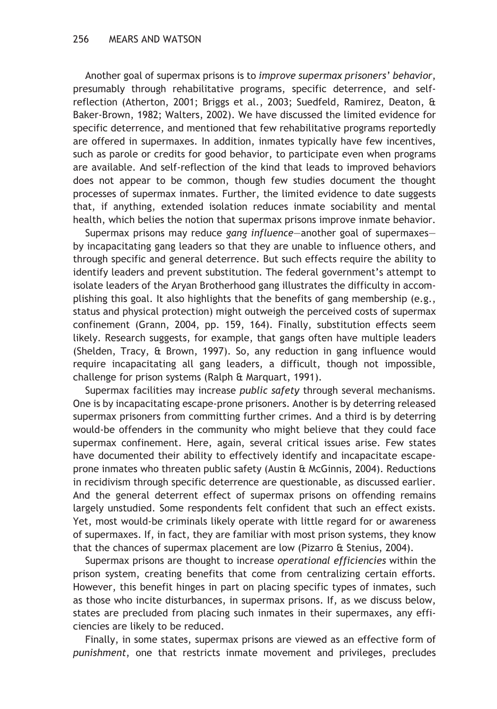Another goal of supermax prisons is to *improve supermax prisoners' behavior*, presumably through rehabilitative programs, specific deterrence, and selfreflection (Atherton, 2001; Briggs et al., 2003; Suedfeld, Ramirez, Deaton, & Baker-Brown, 1982; Walters, 2002). We have discussed the limited evidence for specific deterrence, and mentioned that few rehabilitative programs reportedly are offered in supermaxes. In addition, inmates typically have few incentives, such as parole or credits for good behavior, to participate even when programs are available. And self-reflection of the kind that leads to improved behaviors does not appear to be common, though few studies document the thought processes of supermax inmates. Further, the limited evidence to date suggests that, if anything, extended isolation reduces inmate sociability and mental health, which belies the notion that supermax prisons improve inmate behavior.

Supermax prisons may reduce *gang influence*—another goal of supermaxes by incapacitating gang leaders so that they are unable to influence others, and through specific and general deterrence. But such effects require the ability to identify leaders and prevent substitution. The federal government's attempt to isolate leaders of the Aryan Brotherhood gang illustrates the difficulty in accomplishing this goal. It also highlights that the benefits of gang membership (e.g., status and physical protection) might outweigh the perceived costs of supermax confinement (Grann, 2004, pp. 159, 164). Finally, substitution effects seem likely. Research suggests, for example, that gangs often have multiple leaders (Shelden, Tracy, & Brown, 1997). So, any reduction in gang influence would require incapacitating all gang leaders, a difficult, though not impossible, challenge for prison systems (Ralph & Marquart, 1991).

Supermax facilities may increase *public safety* through several mechanisms. One is by incapacitating escape-prone prisoners. Another is by deterring released supermax prisoners from committing further crimes. And a third is by deterring would-be offenders in the community who might believe that they could face supermax confinement. Here, again, several critical issues arise. Few states have documented their ability to effectively identify and incapacitate escapeprone inmates who threaten public safety (Austin & McGinnis, 2004). Reductions in recidivism through specific deterrence are questionable, as discussed earlier. And the general deterrent effect of supermax prisons on offending remains largely unstudied. Some respondents felt confident that such an effect exists. Yet, most would-be criminals likely operate with little regard for or awareness of supermaxes. If, in fact, they are familiar with most prison systems, they know that the chances of supermax placement are low (Pizarro & Stenius, 2004).

Supermax prisons are thought to increase *operational efficiencies* within the prison system, creating benefits that come from centralizing certain efforts. However, this benefit hinges in part on placing specific types of inmates, such as those who incite disturbances, in supermax prisons. If, as we discuss below, states are precluded from placing such inmates in their supermaxes, any efficiencies are likely to be reduced.

Finally, in some states, supermax prisons are viewed as an effective form of *punishment*, one that restricts inmate movement and privileges, precludes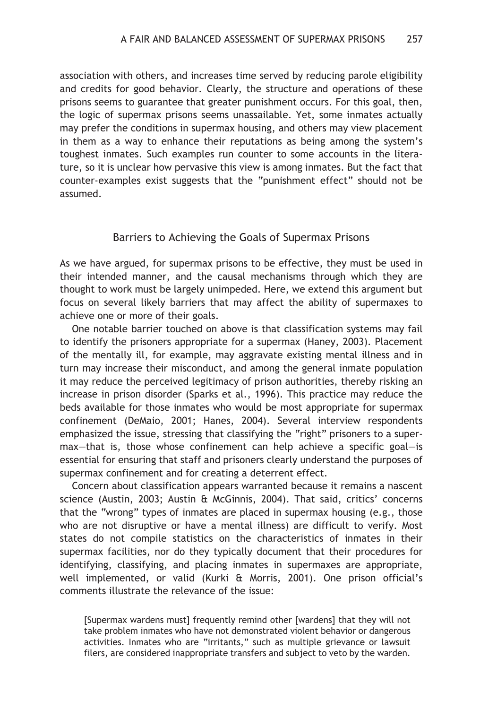association with others, and increases time served by reducing parole eligibility and credits for good behavior. Clearly, the structure and operations of these prisons seems to guarantee that greater punishment occurs. For this goal, then, the logic of supermax prisons seems unassailable. Yet, some inmates actually may prefer the conditions in supermax housing, and others may view placement in them as a way to enhance their reputations as being among the system's toughest inmates. Such examples run counter to some accounts in the literature, so it is unclear how pervasive this view is among inmates. But the fact that counter-examples exist suggests that the "punishment effect" should not be assumed.

## Barriers to Achieving the Goals of Supermax Prisons

As we have argued, for supermax prisons to be effective, they must be used in their intended manner, and the causal mechanisms through which they are thought to work must be largely unimpeded. Here, we extend this argument but focus on several likely barriers that may affect the ability of supermaxes to achieve one or more of their goals.

One notable barrier touched on above is that classification systems may fail to identify the prisoners appropriate for a supermax (Haney, 2003). Placement of the mentally ill, for example, may aggravate existing mental illness and in turn may increase their misconduct, and among the general inmate population it may reduce the perceived legitimacy of prison authorities, thereby risking an increase in prison disorder (Sparks et al., 1996). This practice may reduce the beds available for those inmates who would be most appropriate for supermax confinement (DeMaio, 2001; Hanes, 2004). Several interview respondents emphasized the issue, stressing that classifying the "right" prisoners to a supermax—that is, those whose confinement can help achieve a specific goal—is essential for ensuring that staff and prisoners clearly understand the purposes of supermax confinement and for creating a deterrent effect.

Concern about classification appears warranted because it remains a nascent science (Austin, 2003; Austin & McGinnis, 2004). That said, critics' concerns that the "wrong" types of inmates are placed in supermax housing (e.g., those who are not disruptive or have a mental illness) are difficult to verify. Most states do not compile statistics on the characteristics of inmates in their supermax facilities, nor do they typically document that their procedures for identifying, classifying, and placing inmates in supermaxes are appropriate, well implemented, or valid (Kurki & Morris, 2001). One prison official's comments illustrate the relevance of the issue:

[Supermax wardens must] frequently remind other [wardens] that they will not take problem inmates who have not demonstrated violent behavior or dangerous activities. Inmates who are "irritants," such as multiple grievance or lawsuit filers, are considered inappropriate transfers and subject to veto by the warden.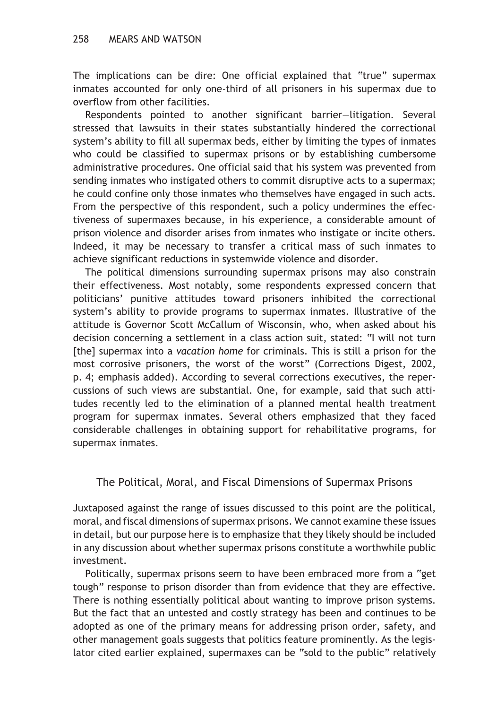The implications can be dire: One official explained that "true" supermax inmates accounted for only one-third of all prisoners in his supermax due to overflow from other facilities.

Respondents pointed to another significant barrier—litigation. Several stressed that lawsuits in their states substantially hindered the correctional system's ability to fill all supermax beds, either by limiting the types of inmates who could be classified to supermax prisons or by establishing cumbersome administrative procedures. One official said that his system was prevented from sending inmates who instigated others to commit disruptive acts to a supermax; he could confine only those inmates who themselves have engaged in such acts. From the perspective of this respondent, such a policy undermines the effectiveness of supermaxes because, in his experience, a considerable amount of prison violence and disorder arises from inmates who instigate or incite others. Indeed, it may be necessary to transfer a critical mass of such inmates to achieve significant reductions in systemwide violence and disorder.

The political dimensions surrounding supermax prisons may also constrain their effectiveness. Most notably, some respondents expressed concern that politicians' punitive attitudes toward prisoners inhibited the correctional system's ability to provide programs to supermax inmates. Illustrative of the attitude is Governor Scott McCallum of Wisconsin, who, when asked about his decision concerning a settlement in a class action suit, stated: "I will not turn [the] supermax into a *vacation home* for criminals. This is still a prison for the most corrosive prisoners, the worst of the worst" (Corrections Digest, 2002, p. 4; emphasis added). According to several corrections executives, the repercussions of such views are substantial. One, for example, said that such attitudes recently led to the elimination of a planned mental health treatment program for supermax inmates. Several others emphasized that they faced considerable challenges in obtaining support for rehabilitative programs, for supermax inmates.

## The Political, Moral, and Fiscal Dimensions of Supermax Prisons

Juxtaposed against the range of issues discussed to this point are the political, moral, and fiscal dimensions of supermax prisons. We cannot examine these issues in detail, but our purpose here is to emphasize that they likely should be included in any discussion about whether supermax prisons constitute a worthwhile public investment.

Politically, supermax prisons seem to have been embraced more from a "get tough" response to prison disorder than from evidence that they are effective. There is nothing essentially political about wanting to improve prison systems. But the fact that an untested and costly strategy has been and continues to be adopted as one of the primary means for addressing prison order, safety, and other management goals suggests that politics feature prominently. As the legislator cited earlier explained, supermaxes can be "sold to the public" relatively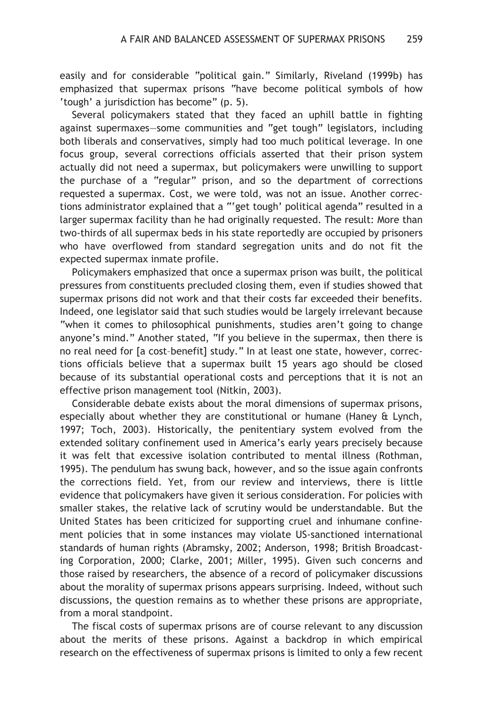easily and for considerable "political gain." Similarly, Riveland (1999b) has emphasized that supermax prisons "have become political symbols of how 'tough' a jurisdiction has become" (p. 5).

Several policymakers stated that they faced an uphill battle in fighting against supermaxes—some communities and "get tough" legislators, including both liberals and conservatives, simply had too much political leverage. In one focus group, several corrections officials asserted that their prison system actually did not need a supermax, but policymakers were unwilling to support the purchase of a "regular" prison, and so the department of corrections requested a supermax. Cost, we were told, was not an issue. Another corrections administrator explained that a "'get tough' political agenda" resulted in a larger supermax facility than he had originally requested. The result: More than two-thirds of all supermax beds in his state reportedly are occupied by prisoners who have overflowed from standard segregation units and do not fit the expected supermax inmate profile.

Policymakers emphasized that once a supermax prison was built, the political pressures from constituents precluded closing them, even if studies showed that supermax prisons did not work and that their costs far exceeded their benefits. Indeed, one legislator said that such studies would be largely irrelevant because "when it comes to philosophical punishments, studies aren't going to change anyone's mind." Another stated, "If you believe in the supermax, then there is no real need for [a cost–benefit] study." In at least one state, however, corrections officials believe that a supermax built 15 years ago should be closed because of its substantial operational costs and perceptions that it is not an effective prison management tool (Nitkin, 2003).

Considerable debate exists about the moral dimensions of supermax prisons, especially about whether they are constitutional or humane (Haney & Lynch, 1997; Toch, 2003). Historically, the penitentiary system evolved from the extended solitary confinement used in America's early years precisely because it was felt that excessive isolation contributed to mental illness (Rothman, 1995). The pendulum has swung back, however, and so the issue again confronts the corrections field. Yet, from our review and interviews, there is little evidence that policymakers have given it serious consideration. For policies with smaller stakes, the relative lack of scrutiny would be understandable. But the United States has been criticized for supporting cruel and inhumane confinement policies that in some instances may violate US-sanctioned international standards of human rights (Abramsky, 2002; Anderson, 1998; British Broadcasting Corporation, 2000; Clarke, 2001; Miller, 1995). Given such concerns and those raised by researchers, the absence of a record of policymaker discussions about the morality of supermax prisons appears surprising. Indeed, without such discussions, the question remains as to whether these prisons are appropriate, from a moral standpoint.

The fiscal costs of supermax prisons are of course relevant to any discussion about the merits of these prisons. Against a backdrop in which empirical research on the effectiveness of supermax prisons is limited to only a few recent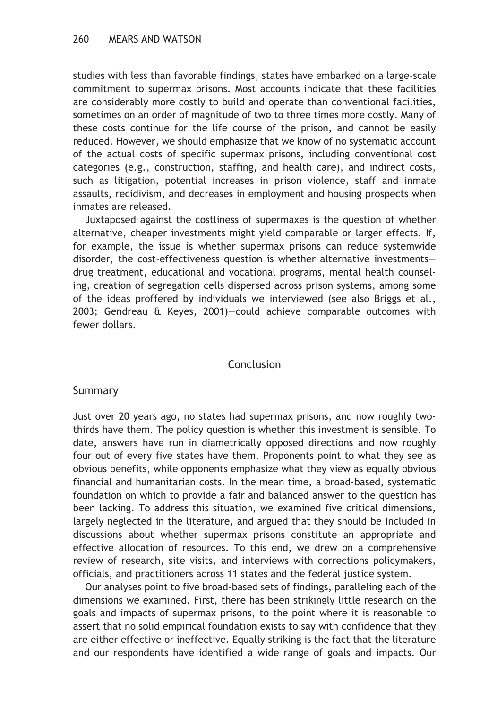studies with less than favorable findings, states have embarked on a large-scale commitment to supermax prisons. Most accounts indicate that these facilities are considerably more costly to build and operate than conventional facilities, sometimes on an order of magnitude of two to three times more costly. Many of these costs continue for the life course of the prison, and cannot be easily reduced. However, we should emphasize that we know of no systematic account of the actual costs of specific supermax prisons, including conventional cost categories (e.g., construction, staffing, and health care), and indirect costs, such as litigation, potential increases in prison violence, staff and inmate assaults, recidivism, and decreases in employment and housing prospects when inmates are released.

Juxtaposed against the costliness of supermaxes is the question of whether alternative, cheaper investments might yield comparable or larger effects. If, for example, the issue is whether supermax prisons can reduce systemwide disorder, the cost-effectiveness question is whether alternative investments drug treatment, educational and vocational programs, mental health counseling, creation of segregation cells dispersed across prison systems, among some of the ideas proffered by individuals we interviewed (see also Briggs et al., 2003; Gendreau & Keyes, 2001)—could achieve comparable outcomes with fewer dollars.

## Conclusion

## Summary

Just over 20 years ago, no states had supermax prisons, and now roughly twothirds have them. The policy question is whether this investment is sensible. To date, answers have run in diametrically opposed directions and now roughly four out of every five states have them. Proponents point to what they see as obvious benefits, while opponents emphasize what they view as equally obvious financial and humanitarian costs. In the mean time, a broad-based, systematic foundation on which to provide a fair and balanced answer to the question has been lacking. To address this situation, we examined five critical dimensions, largely neglected in the literature, and argued that they should be included in discussions about whether supermax prisons constitute an appropriate and effective allocation of resources. To this end, we drew on a comprehensive review of research, site visits, and interviews with corrections policymakers, officials, and practitioners across 11 states and the federal justice system.

Our analyses point to five broad-based sets of findings, paralleling each of the dimensions we examined. First, there has been strikingly little research on the goals and impacts of supermax prisons, to the point where it is reasonable to assert that no solid empirical foundation exists to say with confidence that they are either effective or ineffective. Equally striking is the fact that the literature and our respondents have identified a wide range of goals and impacts. Our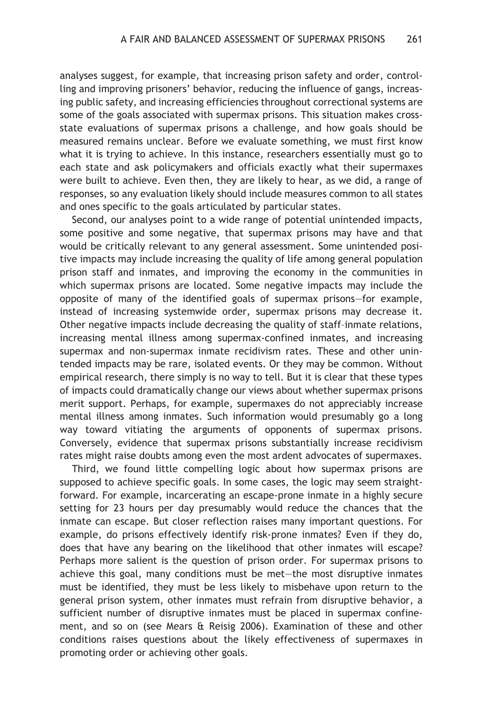analyses suggest, for example, that increasing prison safety and order, controlling and improving prisoners' behavior, reducing the influence of gangs, increasing public safety, and increasing efficiencies throughout correctional systems are some of the goals associated with supermax prisons. This situation makes crossstate evaluations of supermax prisons a challenge, and how goals should be measured remains unclear. Before we evaluate something, we must first know what it is trying to achieve. In this instance, researchers essentially must go to each state and ask policymakers and officials exactly what their supermaxes were built to achieve. Even then, they are likely to hear, as we did, a range of responses, so any evaluation likely should include measures common to all states and ones specific to the goals articulated by particular states.

Second, our analyses point to a wide range of potential unintended impacts, some positive and some negative, that supermax prisons may have and that would be critically relevant to any general assessment. Some unintended positive impacts may include increasing the quality of life among general population prison staff and inmates, and improving the economy in the communities in which supermax prisons are located. Some negative impacts may include the opposite of many of the identified goals of supermax prisons—for example, instead of increasing systemwide order, supermax prisons may decrease it. Other negative impacts include decreasing the quality of staff–inmate relations, increasing mental illness among supermax-confined inmates, and increasing supermax and non-supermax inmate recidivism rates. These and other unintended impacts may be rare, isolated events. Or they may be common. Without empirical research, there simply is no way to tell. But it is clear that these types of impacts could dramatically change our views about whether supermax prisons merit support. Perhaps, for example, supermaxes do not appreciably increase mental illness among inmates. Such information would presumably go a long way toward vitiating the arguments of opponents of supermax prisons. Conversely, evidence that supermax prisons substantially increase recidivism rates might raise doubts among even the most ardent advocates of supermaxes.

Third, we found little compelling logic about how supermax prisons are supposed to achieve specific goals. In some cases, the logic may seem straightforward. For example, incarcerating an escape-prone inmate in a highly secure setting for 23 hours per day presumably would reduce the chances that the inmate can escape. But closer reflection raises many important questions. For example, do prisons effectively identify risk-prone inmates? Even if they do, does that have any bearing on the likelihood that other inmates will escape? Perhaps more salient is the question of prison order. For supermax prisons to achieve this goal, many conditions must be met—the most disruptive inmates must be identified, they must be less likely to misbehave upon return to the general prison system, other inmates must refrain from disruptive behavior, a sufficient number of disruptive inmates must be placed in supermax confinement, and so on (see Mears & Reisig 2006). Examination of these and other conditions raises questions about the likely effectiveness of supermaxes in promoting order or achieving other goals.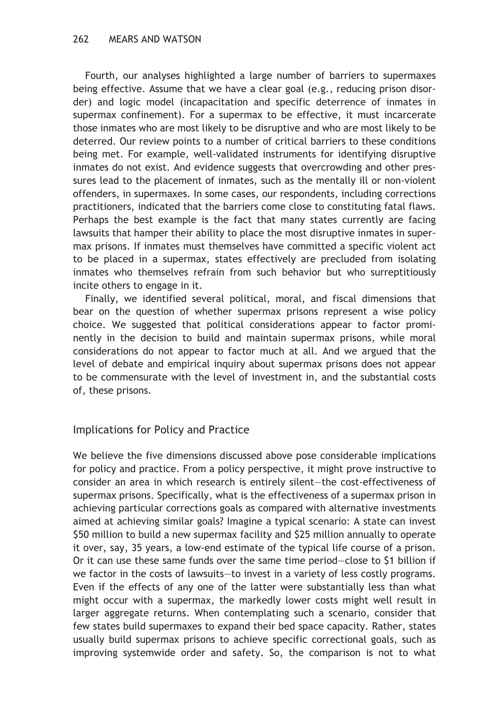Fourth, our analyses highlighted a large number of barriers to supermaxes being effective. Assume that we have a clear goal (e.g., reducing prison disorder) and logic model (incapacitation and specific deterrence of inmates in supermax confinement). For a supermax to be effective, it must incarcerate those inmates who are most likely to be disruptive and who are most likely to be deterred. Our review points to a number of critical barriers to these conditions being met. For example, well-validated instruments for identifying disruptive inmates do not exist. And evidence suggests that overcrowding and other pressures lead to the placement of inmates, such as the mentally ill or non-violent offenders, in supermaxes. In some cases, our respondents, including corrections practitioners, indicated that the barriers come close to constituting fatal flaws. Perhaps the best example is the fact that many states currently are facing lawsuits that hamper their ability to place the most disruptive inmates in supermax prisons. If inmates must themselves have committed a specific violent act to be placed in a supermax, states effectively are precluded from isolating inmates who themselves refrain from such behavior but who surreptitiously incite others to engage in it.

Finally, we identified several political, moral, and fiscal dimensions that bear on the question of whether supermax prisons represent a wise policy choice. We suggested that political considerations appear to factor prominently in the decision to build and maintain supermax prisons, while moral considerations do not appear to factor much at all. And we argued that the level of debate and empirical inquiry about supermax prisons does not appear to be commensurate with the level of investment in, and the substantial costs of, these prisons.

## Implications for Policy and Practice

We believe the five dimensions discussed above pose considerable implications for policy and practice. From a policy perspective, it might prove instructive to consider an area in which research is entirely silent—the cost-effectiveness of supermax prisons. Specifically, what is the effectiveness of a supermax prison in achieving particular corrections goals as compared with alternative investments aimed at achieving similar goals? Imagine a typical scenario: A state can invest \$50 million to build a new supermax facility and \$25 million annually to operate it over, say, 35 years, a low-end estimate of the typical life course of a prison. Or it can use these same funds over the same time period—close to \$1 billion if we factor in the costs of lawsuits—to invest in a variety of less costly programs. Even if the effects of any one of the latter were substantially less than what might occur with a supermax, the markedly lower costs might well result in larger aggregate returns. When contemplating such a scenario, consider that few states build supermaxes to expand their bed space capacity. Rather, states usually build supermax prisons to achieve specific correctional goals, such as improving systemwide order and safety. So, the comparison is not to what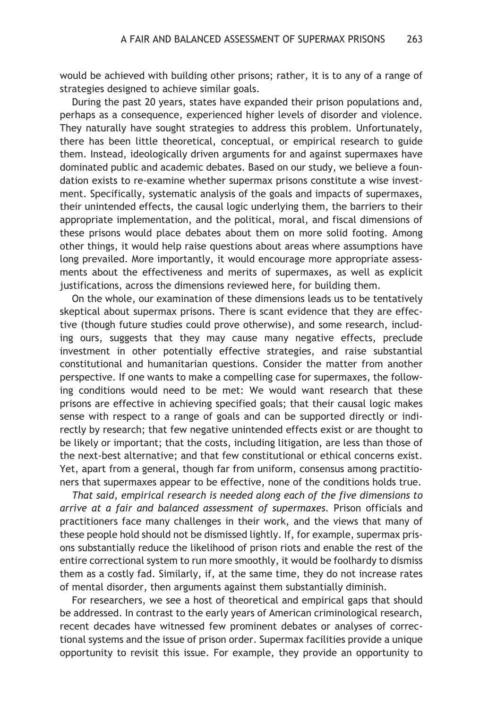would be achieved with building other prisons; rather, it is to any of a range of strategies designed to achieve similar goals.

During the past 20 years, states have expanded their prison populations and, perhaps as a consequence, experienced higher levels of disorder and violence. They naturally have sought strategies to address this problem. Unfortunately, there has been little theoretical, conceptual, or empirical research to guide them. Instead, ideologically driven arguments for and against supermaxes have dominated public and academic debates. Based on our study, we believe a foundation exists to re-examine whether supermax prisons constitute a wise investment. Specifically, systematic analysis of the goals and impacts of supermaxes, their unintended effects, the causal logic underlying them, the barriers to their appropriate implementation, and the political, moral, and fiscal dimensions of these prisons would place debates about them on more solid footing. Among other things, it would help raise questions about areas where assumptions have long prevailed. More importantly, it would encourage more appropriate assessments about the effectiveness and merits of supermaxes, as well as explicit justifications, across the dimensions reviewed here, for building them.

On the whole, our examination of these dimensions leads us to be tentatively skeptical about supermax prisons. There is scant evidence that they are effective (though future studies could prove otherwise), and some research, including ours, suggests that they may cause many negative effects, preclude investment in other potentially effective strategies, and raise substantial constitutional and humanitarian questions. Consider the matter from another perspective. If one wants to make a compelling case for supermaxes, the following conditions would need to be met: We would want research that these prisons are effective in achieving specified goals; that their causal logic makes sense with respect to a range of goals and can be supported directly or indirectly by research; that few negative unintended effects exist or are thought to be likely or important; that the costs, including litigation, are less than those of the next-best alternative; and that few constitutional or ethical concerns exist. Yet, apart from a general, though far from uniform, consensus among practitioners that supermaxes appear to be effective, none of the conditions holds true.

*That said, empirical research is needed along each of the five dimensions to arrive at a fair and balanced assessment of supermaxes.* Prison officials and practitioners face many challenges in their work, and the views that many of these people hold should not be dismissed lightly. If, for example, supermax prisons substantially reduce the likelihood of prison riots and enable the rest of the entire correctional system to run more smoothly, it would be foolhardy to dismiss them as a costly fad. Similarly, if, at the same time, they do not increase rates of mental disorder, then arguments against them substantially diminish.

For researchers, we see a host of theoretical and empirical gaps that should be addressed. In contrast to the early years of American criminological research, recent decades have witnessed few prominent debates or analyses of correctional systems and the issue of prison order. Supermax facilities provide a unique opportunity to revisit this issue. For example, they provide an opportunity to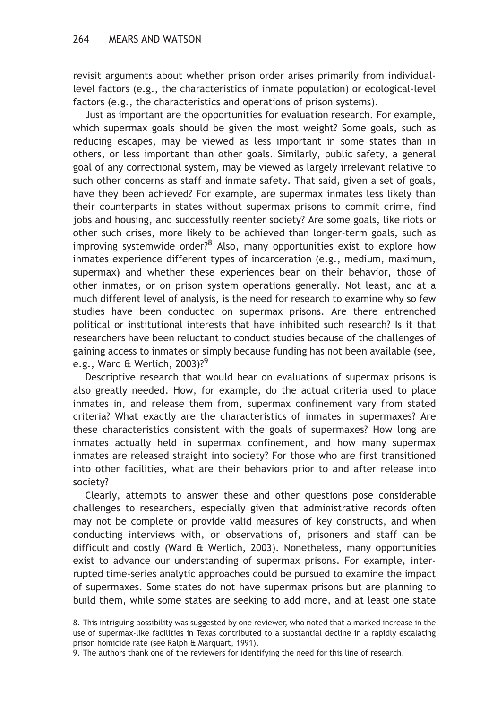revisit arguments about whether prison order arises primarily from individuallevel factors (e.g., the characteristics of inmate population) or ecological-level factors (e.g., the characteristics and operations of prison systems).

Just as important are the opportunities for evaluation research. For example, which supermax goals should be given the most weight? Some goals, such as reducing escapes, may be viewed as less important in some states than in others, or less important than other goals. Similarly, public safety, a general goal of any correctional system, may be viewed as largely irrelevant relative to such other concerns as staff and inmate safety. That said, given a set of goals, have they been achieved? For example, are supermax inmates less likely than their counterparts in states without supermax prisons to commit crime, find jobs and housing, and successfully reenter society? Are some goals, like riots or other such crises, more likely to be achieved than longer-term goals, such as improving systemwide order? $8$  Also, many opportunities exist to explore how inmates experience different types of incarceration (e.g., medium, maximum, supermax) and whether these experiences bear on their behavior, those of other inmates, or on prison system operations generally. Not least, and at a much different level of analysis, is the need for research to examine why so few studies have been conducted on supermax prisons. Are there entrenched political or institutional interests that have inhibited such research? Is it that researchers have been reluctant to conduct studies because of the challenges of gaining access to inmates or simply because funding has not been available (see, e.g., Ward & Werlich, 2003)?<sup>9</sup>

Descriptive research that would bear on evaluations of supermax prisons is also greatly needed. How, for example, do the actual criteria used to place inmates in, and release them from, supermax confinement vary from stated criteria? What exactly are the characteristics of inmates in supermaxes? Are these characteristics consistent with the goals of supermaxes? How long are inmates actually held in supermax confinement, and how many supermax inmates are released straight into society? For those who are first transitioned into other facilities, what are their behaviors prior to and after release into society?

Clearly, attempts to answer these and other questions pose considerable challenges to researchers, especially given that administrative records often may not be complete or provide valid measures of key constructs, and when conducting interviews with, or observations of, prisoners and staff can be difficult and costly (Ward & Werlich, 2003). Nonetheless, many opportunities exist to advance our understanding of supermax prisons. For example, interrupted time-series analytic approaches could be pursued to examine the impact of supermaxes. Some states do not have supermax prisons but are planning to build them, while some states are seeking to add more, and at least one state

8. This intriguing possibility was suggested by one reviewer, who noted that a marked increase in the use of supermax-like facilities in Texas contributed to a substantial decline in a rapidly escalating prison homicide rate (see Ralph & Marquart, 1991).

9. The authors thank one of the reviewers for identifying the need for this line of research.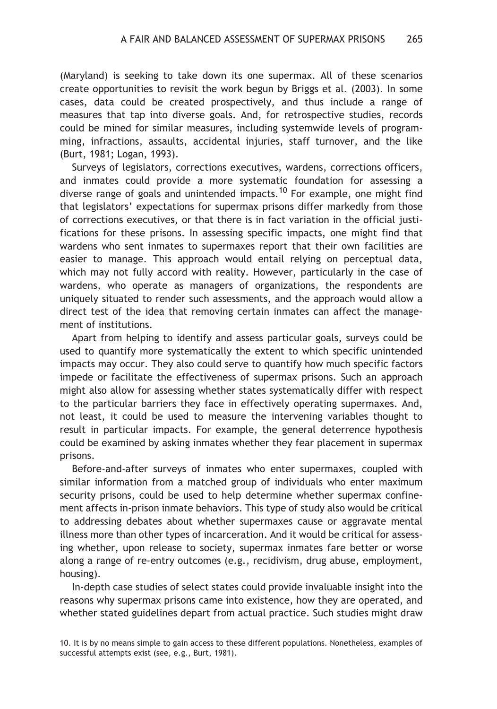(Maryland) is seeking to take down its one supermax. All of these scenarios create opportunities to revisit the work begun by Briggs et al. (2003). In some cases, data could be created prospectively, and thus include a range of measures that tap into diverse goals. And, for retrospective studies, records could be mined for similar measures, including systemwide levels of programming, infractions, assaults, accidental injuries, staff turnover, and the like (Burt, 1981; Logan, 1993).

Surveys of legislators, corrections executives, wardens, corrections officers, and inmates could provide a more systematic foundation for assessing a diverse range of goals and unintended impacts.<sup>10</sup> For example, one might find that legislators' expectations for supermax prisons differ markedly from those of corrections executives, or that there is in fact variation in the official justifications for these prisons. In assessing specific impacts, one might find that wardens who sent inmates to supermaxes report that their own facilities are easier to manage. This approach would entail relying on perceptual data, which may not fully accord with reality. However, particularly in the case of wardens, who operate as managers of organizations, the respondents are uniquely situated to render such assessments, and the approach would allow a direct test of the idea that removing certain inmates can affect the management of institutions.

Apart from helping to identify and assess particular goals, surveys could be used to quantify more systematically the extent to which specific unintended impacts may occur. They also could serve to quantify how much specific factors impede or facilitate the effectiveness of supermax prisons. Such an approach might also allow for assessing whether states systematically differ with respect to the particular barriers they face in effectively operating supermaxes. And, not least, it could be used to measure the intervening variables thought to result in particular impacts. For example, the general deterrence hypothesis could be examined by asking inmates whether they fear placement in supermax prisons.

Before-and-after surveys of inmates who enter supermaxes, coupled with similar information from a matched group of individuals who enter maximum security prisons, could be used to help determine whether supermax confinement affects in-prison inmate behaviors. This type of study also would be critical to addressing debates about whether supermaxes cause or aggravate mental illness more than other types of incarceration. And it would be critical for assessing whether, upon release to society, supermax inmates fare better or worse along a range of re-entry outcomes (e.g., recidivism, drug abuse, employment, housing).

In-depth case studies of select states could provide invaluable insight into the reasons why supermax prisons came into existence, how they are operated, and whether stated guidelines depart from actual practice. Such studies might draw

10. It is by no means simple to gain access to these different populations. Nonetheless, examples of successful attempts exist (see, e.g., Burt, 1981).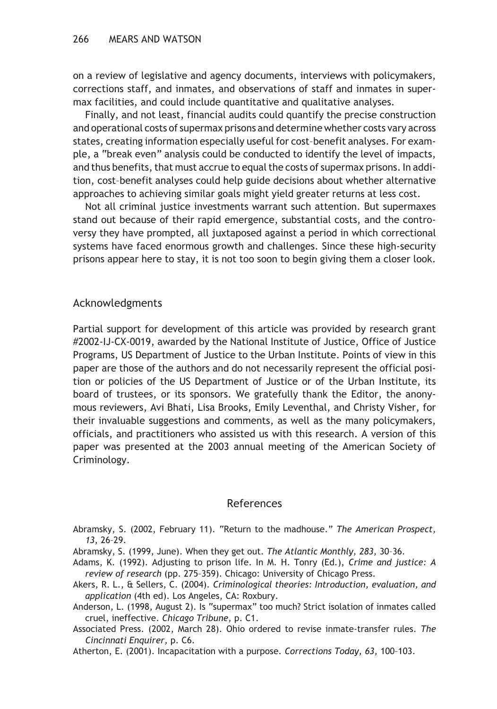on a review of legislative and agency documents, interviews with policymakers, corrections staff, and inmates, and observations of staff and inmates in supermax facilities, and could include quantitative and qualitative analyses.

Finally, and not least, financial audits could quantify the precise construction and operational costs of supermax prisons and determine whether costs vary across states, creating information especially useful for cost–benefit analyses. For example, a "break even" analysis could be conducted to identify the level of impacts, and thus benefits, that must accrue to equal the costs of supermax prisons. In addition, cost–benefit analyses could help guide decisions about whether alternative approaches to achieving similar goals might yield greater returns at less cost.

Not all criminal justice investments warrant such attention. But supermaxes stand out because of their rapid emergence, substantial costs, and the controversy they have prompted, all juxtaposed against a period in which correctional systems have faced enormous growth and challenges. Since these high-security prisons appear here to stay, it is not too soon to begin giving them a closer look.

## Acknowledgments

Partial support for development of this article was provided by research grant #2002-IJ-CX-0019, awarded by the National Institute of Justice, Office of Justice Programs, US Department of Justice to the Urban Institute. Points of view in this paper are those of the authors and do not necessarily represent the official position or policies of the US Department of Justice or of the Urban Institute, its board of trustees, or its sponsors. We gratefully thank the Editor, the anonymous reviewers, Avi Bhati, Lisa Brooks, Emily Leventhal, and Christy Visher, for their invaluable suggestions and comments, as well as the many policymakers, officials, and practitioners who assisted us with this research. A version of this paper was presented at the 2003 annual meeting of the American Society of Criminology.

## References

Abramsky, S. (2002, February 11). "Return to the madhouse." *The American Prospect, 13*, 26–29.

Abramsky, S. (1999, June). When they get out. *The Atlantic Monthly, 283,* 30–36.

Adams, K. (1992). Adjusting to prison life. In M. H. Tonry (Ed.), *Crime and justice: A review of research* (pp. 275–359). Chicago: University of Chicago Press.

Akers, R. L., & Sellers, C. (2004). *Criminological theories: Introduction, evaluation, and application* (4th ed). Los Angeles, CA: Roxbury.

Anderson, L. (1998, August 2). Is "supermax" too much? Strict isolation of inmates called cruel, ineffective. *Chicago Tribune,* p. C1.

Associated Press. (2002, March 28). Ohio ordered to revise inmate-transfer rules. *The Cincinnati Enquirer,* p. C6.

Atherton, E. (2001). Incapacitation with a purpose. *Corrections Today, 63,* 100–103.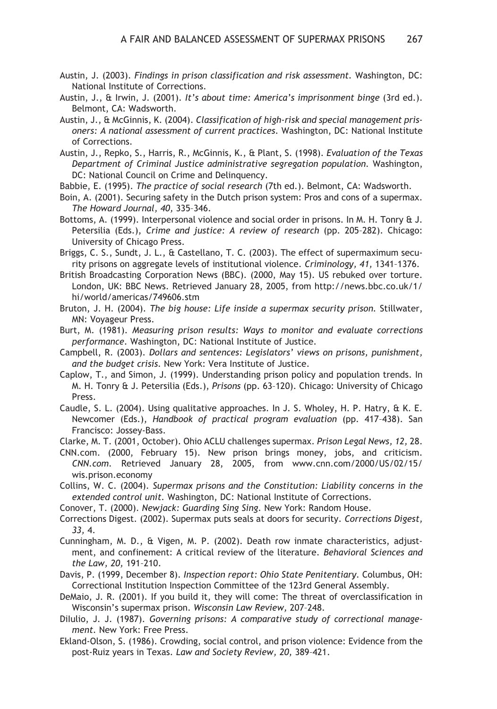- Austin, J. (2003). *Findings in prison classification and risk assessment.* Washington, DC: National Institute of Corrections.
- Austin, J., & Irwin, J. (2001). *It's about time: America's imprisonment binge* (3rd ed.). Belmont, CA: Wadsworth.
- Austin, J., & McGinnis, K. (2004). *Classification of high-risk and special management prisoners: A national assessment of current practices.* Washington, DC: National Institute of Corrections.
- Austin, J., Repko, S., Harris, R., McGinnis, K., & Plant, S. (1998). *Evaluation of the Texas Department of Criminal Justice administrative segregation population.* Washington, DC: National Council on Crime and Delinquency.
- Babbie, E. (1995). *The practice of social research* (7th ed.). Belmont, CA: Wadsworth.
- Boin, A. (2001). Securing safety in the Dutch prison system: Pros and cons of a supermax. *The Howard Journal, 40,* 335–346.
- Bottoms, A. (1999). Interpersonal violence and social order in prisons. In M. H. Tonry & J. Petersilia (Eds.), *Crime and justice: A review of research* (pp. 205–282). Chicago: University of Chicago Press.
- Briggs, C. S., Sundt, J. L., & Castellano, T. C. (2003). The effect of supermaximum security prisons on aggregate levels of institutional violence. *Criminology, 41,* 1341–1376.
- British Broadcasting Corporation News (BBC). (2000, May 15). US rebuked over torture. London, UK: BBC News. Retrieved January 28, 2005, from http://news.bbc.co.uk/1/ hi/world/americas/749606.stm
- Bruton, J. H. (2004). *The big house: Life inside a supermax security prison.* Stillwater, MN: Voyageur Press.
- Burt, M. (1981). *Measuring prison results: Ways to monitor and evaluate corrections performance.* Washington, DC: National Institute of Justice.
- Campbell, R. (2003). *Dollars and sentences: Legislators' views on prisons, punishment, and the budget crisis.* New York: Vera Institute of Justice.
- Caplow, T., and Simon, J. (1999). Understanding prison policy and population trends. In M. H. Tonry & J. Petersilia (Eds.), *Prisons* (pp. 63–120). Chicago: University of Chicago Press.
- Caudle, S. L. (2004). Using qualitative approaches. In J. S. Wholey, H. P. Hatry, & K. E. Newcomer (Eds.), *Handbook of practical program evaluation* (pp. 417–438). San Francisco: Jossey-Bass.
- Clarke, M. T. (2001, October). Ohio ACLU challenges supermax. *Prison Legal News, 12,* 28.
- CNN.com. (2000, February 15). New prison brings money, jobs, and criticism. *CNN.com.* Retrieved January 28, 2005, from www.cnn.com/2000/US/02/15/ wis.prison.economy
- Collins, W. C. (2004). *Supermax prisons and the Constitution: Liability concerns in the extended control unit.* Washington, DC: National Institute of Corrections.
- Conover, T. (2000). *Newjack: Guarding Sing Sing.* New York: Random House.
- Corrections Digest. (2002). Supermax puts seals at doors for security. *Corrections Digest, 33,* 4.
- Cunningham, M. D., & Vigen, M. P. (2002). Death row inmate characteristics, adjustment, and confinement: A critical review of the literature. *Behavioral Sciences and the Law, 20,* 191–210.
- Davis, P. (1999, December 8). *Inspection report: Ohio State Penitentiary.* Columbus, OH: Correctional Institution Inspection Committee of the 123rd General Assembly.
- DeMaio, J. R. (2001). If you build it, they will come: The threat of overclassification in Wisconsin's supermax prison. *Wisconsin Law Review,* 207–248.
- Dilulio, J. J. (1987). Governing prisons: A comparative study of correctional manage*ment.* New York: Free Press.
- Ekland-Olson, S. (1986). Crowding, social control, and prison violence: Evidence from the post-Ruiz years in Texas. *Law and Society Review, 20,* 389–421.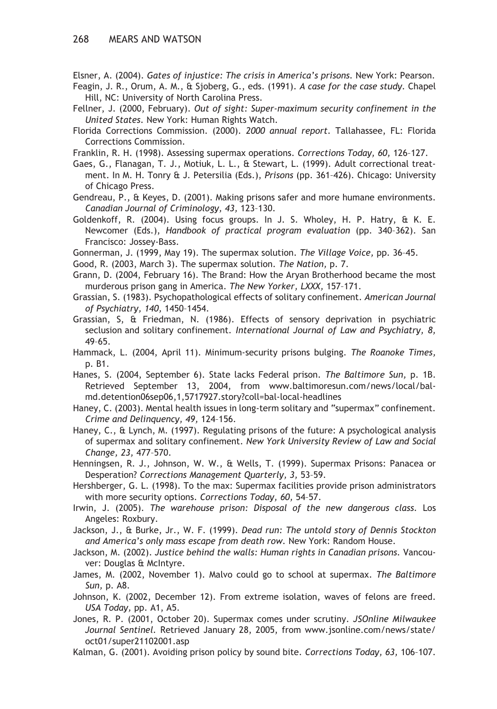- Elsner, A. (2004). *Gates of injustice: The crisis in America's prisons.* New York: Pearson.
- Feagin, J. R., Orum, A. M., & Sjoberg, G., eds. (1991). *A case for the case study.* Chapel Hill, NC: University of North Carolina Press.
- Fellner, J. (2000, February). *Out of sight: Super-maximum security confinement in the United States.* New York: Human Rights Watch.
- Florida Corrections Commission. (2000). *2000 annual report.* Tallahassee, FL: Florida Corrections Commission.
- Franklin, R. H. (1998). Assessing supermax operations. *Corrections Today, 60,* 126–127.
- Gaes, G., Flanagan, T. J., Motiuk, L. L., & Stewart, L. (1999). Adult correctional treatment. In M. H. Tonry & J. Petersilia (Eds.), *Prisons* (pp. 361–426). Chicago: University of Chicago Press.
- Gendreau, P., & Keyes, D. (2001). Making prisons safer and more humane environments. *Canadian Journal of Criminology, 43,* 123–130.
- Goldenkoff, R. (2004). Using focus groups. In J. S. Wholey, H. P. Hatry, & K. E. Newcomer (Eds.), *Handbook of practical program evaluation* (pp. 340–362). San Francisco: Jossey-Bass.

Gonnerman, J. (1999, May 19). The supermax solution. *The Village Voice,* pp. 36–45.

- Good, R. (2003, March 3). The supermax solution. *The Nation,* p. 7.
- Grann, D. (2004, February 16). The Brand: How the Aryan Brotherhood became the most murderous prison gang in America. *The New Yorker, LXXX,* 157–171.
- Grassian, S. (1983). Psychopathological effects of solitary confinement. *American Journal of Psychiatry, 140,* 1450–1454.
- Grassian, S, & Friedman, N. (1986). Effects of sensory deprivation in psychiatric seclusion and solitary confinement. *International Journal of Law and Psychiatry, 8,* 49–65.
- Hammack, L. (2004, April 11). Minimum-security prisons bulging. *The Roanoke Times,* p. B1.
- Hanes, S. (2004, September 6). State lacks Federal prison. *The Baltimore Sun,* p. 1B. Retrieved September 13, 2004, from www.baltimoresun.com/news/local/balmd.detention06sep06,1,5717927.story?coll=bal-local-headlines
- Haney, C. (2003). Mental health issues in long-term solitary and "supermax" confinement. *Crime and Delinquency, 49,* 124–156.
- Haney, C., & Lynch, M. (1997). Regulating prisons of the future: A psychological analysis of supermax and solitary confinement. *New York University Review of Law and Social Change, 23,* 477–570.
- Henningsen, R. J., Johnson, W. W., & Wells, T. (1999). Supermax Prisons: Panacea or Desperation? *Corrections Management Quarterly, 3,* 53–59.
- Hershberger, G. L. (1998). To the max: Supermax facilities provide prison administrators with more security options. *Corrections Today, 60,* 54–57.
- Irwin, J. (2005). *The warehouse prison: Disposal of the new dangerous class.* Los Angeles: Roxbury.
- Jackson, J., & Burke, Jr., W. F. (1999). *Dead run: The untold story of Dennis Stockton and America's only mass escape from death row.* New York: Random House.
- Jackson, M. (2002). *Justice behind the walls: Human rights in Canadian prisons.* Vancouver: Douglas & McIntyre.
- James, M. (2002, November 1). Malvo could go to school at supermax. *The Baltimore Sun,* p. A8.
- Johnson, K. (2002, December 12). From extreme isolation, waves of felons are freed. *USA Today,* pp. A1, A5.
- Jones, R. P. (2001, October 20). Supermax comes under scrutiny. *JSOnline Milwaukee Journal Sentinel.* Retrieved January 28, 2005, from www.jsonline.com/news/state/ oct01/super21102001.asp
- Kalman, G. (2001). Avoiding prison policy by sound bite. *Corrections Today, 63,* 106–107.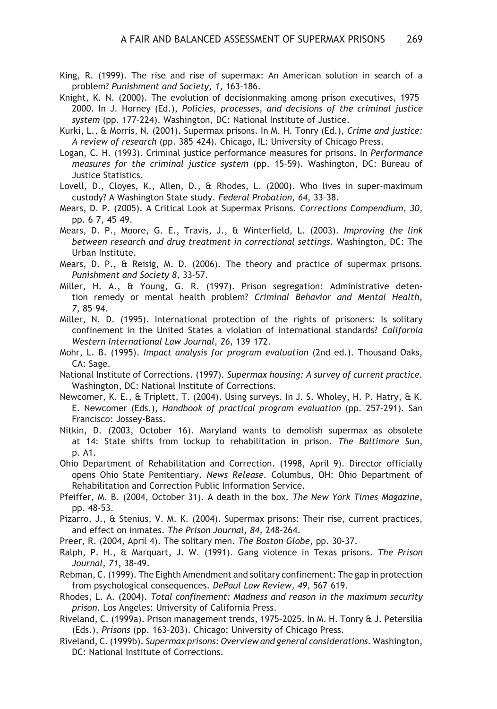- King, R. (1999). The rise and rise of supermax: An American solution in search of a problem? *Punishment and Society, 1,* 163–186.
- Knight, K. N. (2000). The evolution of decisionmaking among prison executives, 1975– 2000. In J. Horney (Ed.), *Policies, processes, and decisions of the criminal justice system* (pp. 177–224). Washington, DC: National Institute of Justice.
- Kurki, L., & Morris, N. (2001). Supermax prisons. In M. H. Tonry (Ed.), *Crime and justice: A review of research* (pp. 385–424). Chicago, IL: University of Chicago Press.
- Logan, C. H. (1993). Criminal justice performance measures for prisons. In *Performance measures for the criminal justice system* (pp. 15–59). Washington, DC: Bureau of Justice Statistics.
- Lovell, D., Cloyes, K., Allen, D., & Rhodes, L. (2000). Who lives in super-maximum custody? A Washington State study. *Federal Probation, 64,* 33–38.
- Mears, D. P. (2005). A Critical Look at Supermax Prisons. *Corrections Compendium, 30,* pp. 6–7, 45–49.
- Mears, D. P., Moore, G. E., Travis, J., & Winterfield, L. (2003). *Improving the link between research and drug treatment in correctional settings.* Washington, DC: The Urban Institute.
- Mears, D. P., & Reisig, M. D. (2006). The theory and practice of supermax prisons. *Punishment and Society 8,* 33–57.
- Miller, H. A., & Young, G. R. (1997). Prison segregation: Administrative detention remedy or mental health problem? *Criminal Behavior and Mental Health, 7,* 85–94.
- Miller, N. D. (1995). International protection of the rights of prisoners: Is solitary confinement in the United States a violation of international standards? *California Western International Law Journal, 26,* 139–172.
- Mohr, L. B. (1995). *Impact analysis for program evaluation* (2nd ed.). Thousand Oaks, CA: Sage.
- National Institute of Corrections. (1997). *Supermax housing: A survey of current practice.* Washington, DC: National Institute of Corrections.
- Newcomer, K. E., & Triplett, T. (2004). Using surveys. In J. S. Wholey, H. P. Hatry, & K. E. Newcomer (Eds.), *Handbook of practical program evaluation* (pp. 257–291). San Francisco: Jossey-Bass.
- Nitkin, D. (2003, October 16). Maryland wants to demolish supermax as obsolete at 14: State shifts from lockup to rehabilitation in prison. *The Baltimore Sun,* p. A1.
- Ohio Department of Rehabilitation and Correction. (1998, April 9). Director officially opens Ohio State Penitentiary. *News Release.* Columbus, OH: Ohio Department of Rehabilitation and Correction Public Information Service.
- Pfeiffer, M. B. (2004, October 31). A death in the box. *The New York Times Magazine,* pp. 48–53.
- Pizarro, J., & Stenius, V. M. K. (2004). Supermax prisons: Their rise, current practices, and effect on inmates. *The Prison Journal, 84,* 248–264.
- Preer, R. (2004, April 4). The solitary men. *The Boston Globe,* pp. 30–37.
- Ralph, P. H., & Marquart, J. W. (1991). Gang violence in Texas prisons. *The Prison Journal, 71*, 38–49.
- Rebman, C. (1999). The Eighth Amendment and solitary confinement: The gap in protection from psychological consequences. *DePaul Law Review, 49,* 567–619.
- Rhodes, L. A. (2004). *Total confinement: Madness and reason in the maximum security prison.* Los Angeles: University of California Press.
- Riveland, C. (1999a). Prison management trends, 1975–2025. In M. H. Tonry & J. Petersilia (Eds.), *Prisons* (pp. 163–203). Chicago: University of Chicago Press.
- Riveland, C. (1999b). *Supermax prisons: Overview and general considerations.* Washington, DC: National Institute of Corrections.